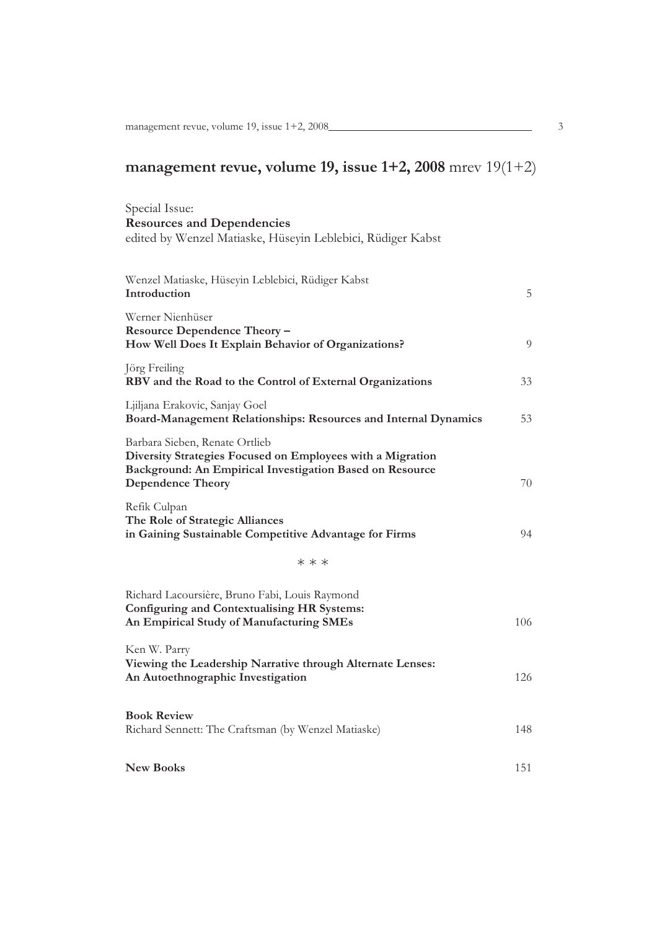# **management revue, volume 19, issue 1+2, 2008** mrev 19(1+2)

| Special Issue:                                                                                                                                                                              |     |
|---------------------------------------------------------------------------------------------------------------------------------------------------------------------------------------------|-----|
| <b>Resources and Dependencies</b><br>edited by Wenzel Matiaske, Hüseyin Leblebici, Rüdiger Kabst                                                                                            |     |
| Wenzel Matiaske, Hüseyin Leblebici, Rüdiger Kabst<br>Introduction                                                                                                                           | 5   |
| Werner Nienhüser<br><b>Resource Dependence Theory-</b><br>How Well Does It Explain Behavior of Organizations?                                                                               | 9   |
| Jörg Freiling<br>RBV and the Road to the Control of External Organizations                                                                                                                  | 33  |
| Ljiljana Erakovic, Sanjay Goel<br>Board-Management Relationships: Resources and Internal Dynamics                                                                                           | 53  |
| Barbara Sieben, Renate Ortlieb<br>Diversity Strategies Focused on Employees with a Migration<br><b>Background: An Empirical Investigation Based on Resource</b><br><b>Dependence Theory</b> | 70  |
| Refik Culpan<br>The Role of Strategic Alliances<br>in Gaining Sustainable Competitive Advantage for Firms                                                                                   | 94  |
| $* * *$                                                                                                                                                                                     |     |
| Richard Lacoursière, Bruno Fabi, Louis Raymond<br><b>Configuring and Contextualising HR Systems:</b><br>An Empirical Study of Manufacturing SMEs                                            | 106 |
| Ken W. Parry<br>Viewing the Leadership Narrative through Alternate Lenses:<br>An Autoethnographic Investigation                                                                             | 126 |
| <b>Book Review</b><br>Richard Sennett: The Craftsman (by Wenzel Matiaske)                                                                                                                   | 148 |
| <b>New Books</b>                                                                                                                                                                            | 151 |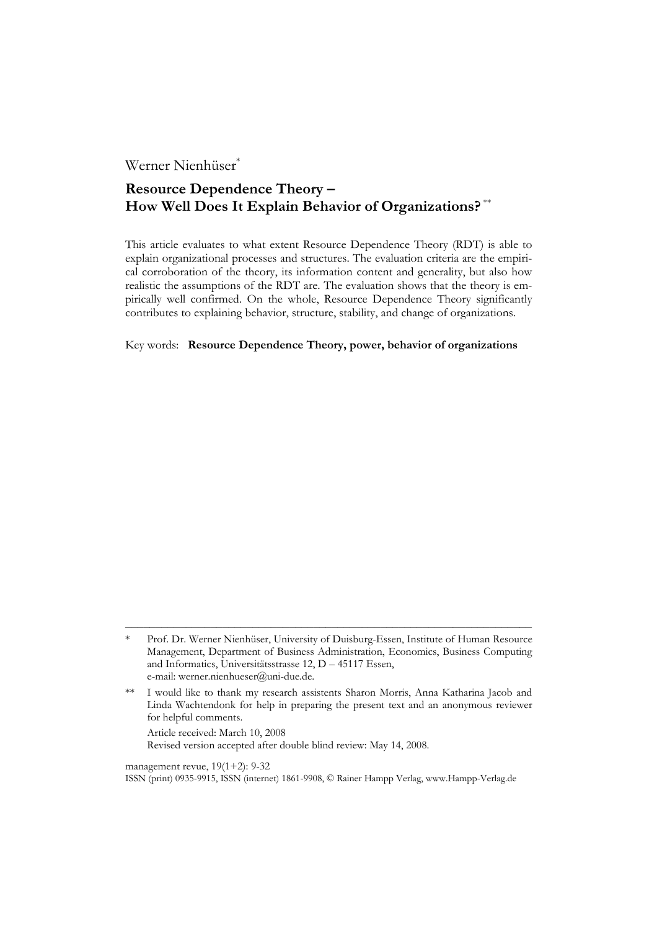Werner Nienhüser\*

## **Resource Dependence Theory – How Well Does It Explain Behavior of Organizations?** \*\*

This article evaluates to what extent Resource Dependence Theory (RDT) is able to explain organizational processes and structures. The evaluation criteria are the empirical corroboration of the theory, its information content and generality, but also how realistic the assumptions of the RDT are. The evaluation shows that the theory is empirically well confirmed. On the whole, Resource Dependence Theory significantly contributes to explaining behavior, structure, stability, and change of organizations.

## Key words: **Resource Dependence Theory, power, behavior of organizations**

*\_\_\_\_\_\_\_\_\_\_\_\_\_\_\_\_\_\_\_\_\_\_\_\_\_\_\_\_\_\_\_\_\_\_\_\_\_\_\_\_\_\_\_\_\_\_\_\_\_\_\_\_\_\_\_\_\_\_\_\_\_\_\_\_\_\_\_* 

 Article received: March 10, 2008 Revised version accepted after double blind review: May 14, 2008.

management revue, 19(1+2): 9-32 ISSN (print) 0935-9915, ISSN (internet) 1861-9908, © Rainer Hampp Verlag, www.Hampp-Verlag.de

Prof. Dr. Werner Nienhüser, University of Duisburg-Essen, Institute of Human Resource Management, Department of Business Administration, Economics, Business Computing and Informatics, Universitätsstrasse 12, D – 45117 Essen, e-mail: werner.nienhueser@uni-due.de.

I would like to thank my research assistents Sharon Morris, Anna Katharina Jacob and Linda Wachtendonk for help in preparing the present text and an anonymous reviewer for helpful comments.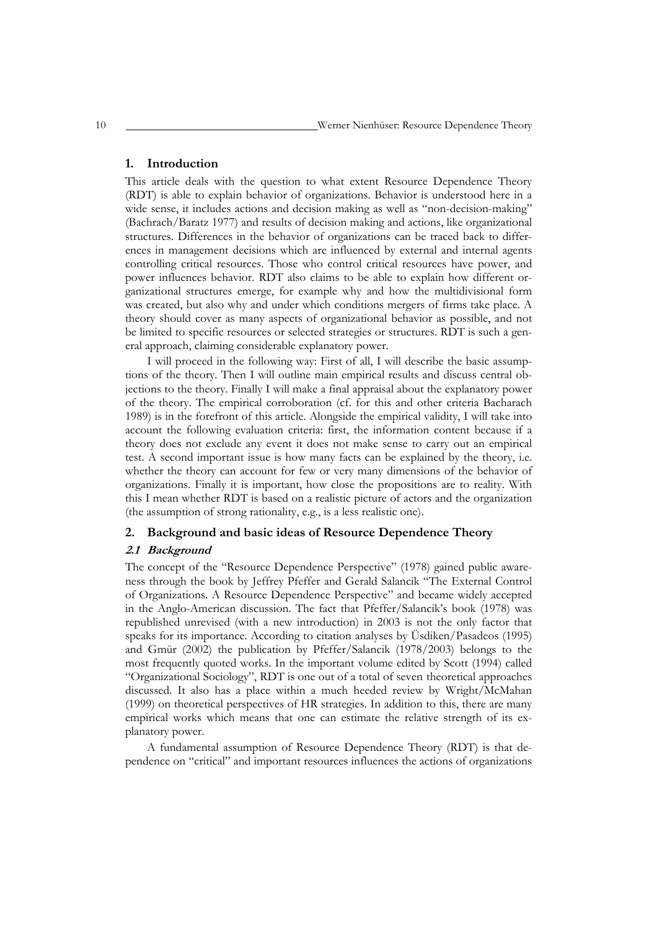## **1. Introduction**

This article deals with the question to what extent Resource Dependence Theory (RDT) is able to explain behavior of organizations. Behavior is understood here in a wide sense, it includes actions and decision making as well as "non-decision-making" (Bachrach/Baratz 1977) and results of decision making and actions, like organizational structures. Differences in the behavior of organizations can be traced back to differences in management decisions which are influenced by external and internal agents controlling critical resources. Those who control critical resources have power, and power influences behavior. RDT also claims to be able to explain how different organizational structures emerge, for example why and how the multidivisional form was created, but also why and under which conditions mergers of firms take place. A theory should cover as many aspects of organizational behavior as possible, and not be limited to specific resources or selected strategies or structures. RDT is such a general approach, claiming considerable explanatory power.

I will proceed in the following way: First of all, I will describe the basic assumptions of the theory. Then I will outline main empirical results and discuss central objections to the theory. Finally I will make a final appraisal about the explanatory power of the theory. The empirical corroboration (cf. for this and other criteria Bacharach 1989) is in the forefront of this article. Alongside the empirical validity, I will take into account the following evaluation criteria: first, the information content because if a theory does not exclude any event it does not make sense to carry out an empirical test. A second important issue is how many facts can be explained by the theory, i.e. whether the theory can account for few or very many dimensions of the behavior of organizations. Finally it is important, how close the propositions are to reality. With this I mean whether RDT is based on a realistic picture of actors and the organization (the assumption of strong rationality, e.g., is a less realistic one).

## **2. Background and basic ideas of Resource Dependence Theory**

#### **2.1 Background**

The concept of the "Resource Dependence Perspective" (1978) gained public awareness through the book by Jeffrey Pfeffer and Gerald Salancik "The External Control of Organizations. A Resource Dependence Perspective" and became widely accepted in the Anglo-American discussion. The fact that Pfeffer/Salancik's book (1978) was republished unrevised (with a new introduction) in 2003 is not the only factor that speaks for its importance. According to citation analyses by Üsdiken/Pasadeos (1995) and Gmür (2002) the publication by Pfeffer/Salancik (1978/2003) belongs to the most frequently quoted works. In the important volume edited by Scott (1994) called "Organizational Sociology", RDT is one out of a total of seven theoretical approaches discussed. It also has a place within a much heeded review by Wright/McMahan (1999) on theoretical perspectives of HR strategies. In addition to this, there are many empirical works which means that one can estimate the relative strength of its explanatory power.

A fundamental assumption of Resource Dependence Theory (RDT) is that dependence on "critical" and important resources influences the actions of organizations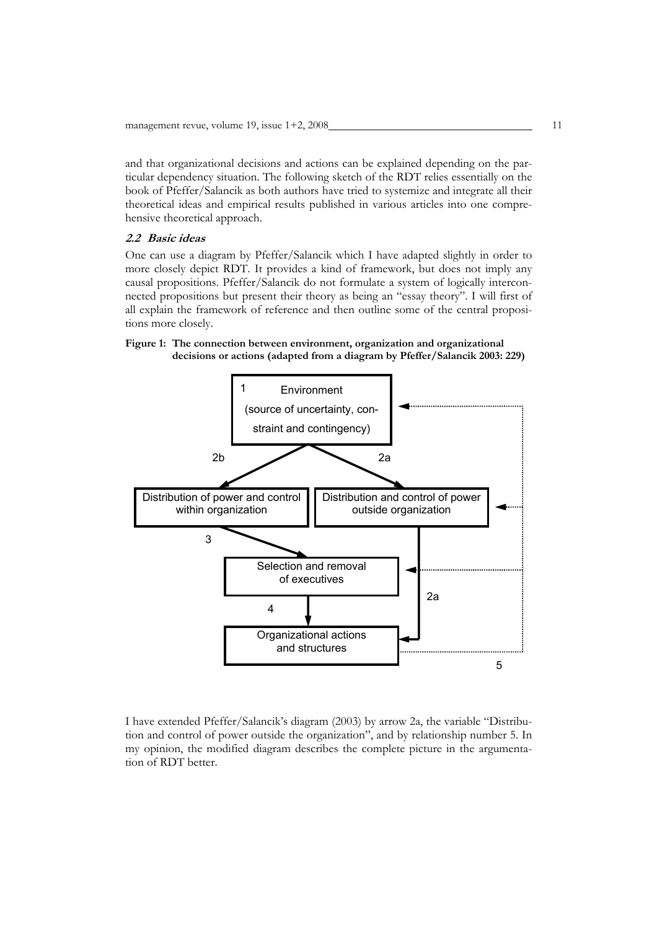and that organizational decisions and actions can be explained depending on the particular dependency situation. The following sketch of the RDT relies essentially on the book of Pfeffer/Salancik as both authors have tried to systemize and integrate all their theoretical ideas and empirical results published in various articles into one comprehensive theoretical approach.

## **2.2 Basic ideas**

One can use a diagram by Pfeffer/Salancik which I have adapted slightly in order to more closely depict RDT. It provides a kind of framework, but does not imply any causal propositions. Pfeffer/Salancik do not formulate a system of logically interconnected propositions but present their theory as being an "essay theory". I will first of all explain the framework of reference and then outline some of the central propositions more closely.

#### **Figure 1: The connection between environment, organization and organizational decisions or actions (adapted from a diagram by Pfeffer/Salancik 2003: 229)**



I have extended Pfeffer/Salancik's diagram (2003) by arrow 2a, the variable "Distribution and control of power outside the organization", and by relationship number 5. In my opinion, the modified diagram describes the complete picture in the argumentation of RDT better.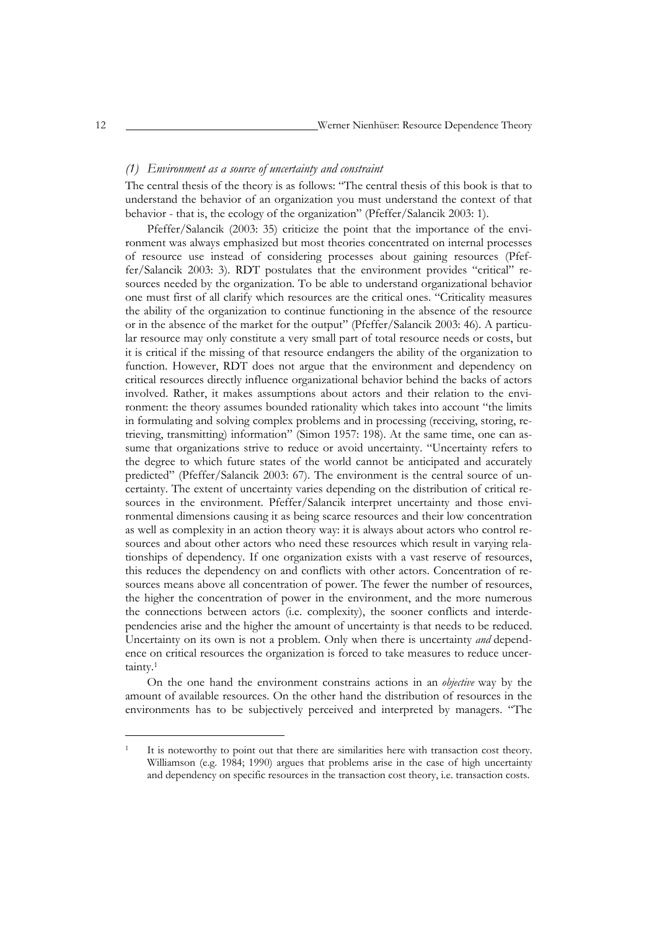## *(1) Environment as a source of uncertainty and constraint*

The central thesis of the theory is as follows: "The central thesis of this book is that to understand the behavior of an organization you must understand the context of that behavior - that is, the ecology of the organization" (Pfeffer/Salancik 2003: 1).

Pfeffer/Salancik (2003: 35) criticize the point that the importance of the environment was always emphasized but most theories concentrated on internal processes of resource use instead of considering processes about gaining resources (Pfeffer/Salancik 2003: 3). RDT postulates that the environment provides "critical" resources needed by the organization. To be able to understand organizational behavior one must first of all clarify which resources are the critical ones. "Criticality measures the ability of the organization to continue functioning in the absence of the resource or in the absence of the market for the output" (Pfeffer/Salancik 2003: 46). A particular resource may only constitute a very small part of total resource needs or costs, but it is critical if the missing of that resource endangers the ability of the organization to function. However, RDT does not argue that the environment and dependency on critical resources directly influence organizational behavior behind the backs of actors involved. Rather, it makes assumptions about actors and their relation to the environment: the theory assumes bounded rationality which takes into account "the limits in formulating and solving complex problems and in processing (receiving, storing, retrieving, transmitting) information" (Simon 1957: 198). At the same time, one can assume that organizations strive to reduce or avoid uncertainty. "Uncertainty refers to the degree to which future states of the world cannot be anticipated and accurately predicted" (Pfeffer/Salancik 2003: 67). The environment is the central source of uncertainty. The extent of uncertainty varies depending on the distribution of critical resources in the environment. Pfeffer/Salancik interpret uncertainty and those environmental dimensions causing it as being scarce resources and their low concentration as well as complexity in an action theory way: it is always about actors who control resources and about other actors who need these resources which result in varying relationships of dependency. If one organization exists with a vast reserve of resources, this reduces the dependency on and conflicts with other actors. Concentration of resources means above all concentration of power. The fewer the number of resources, the higher the concentration of power in the environment, and the more numerous the connections between actors (i.e. complexity), the sooner conflicts and interdependencies arise and the higher the amount of uncertainty is that needs to be reduced. Uncertainty on its own is not a problem. Only when there is uncertainty *and* dependence on critical resources the organization is forced to take measures to reduce uncertainty.1

On the one hand the environment constrains actions in an *objective* way by the amount of available resources. On the other hand the distribution of resources in the environments has to be subjectively perceived and interpreted by managers. "The

<sup>&</sup>lt;sup>1</sup> It is noteworthy to point out that there are similarities here with transaction cost theory. Williamson (e.g. 1984; 1990) argues that problems arise in the case of high uncertainty and dependency on specific resources in the transaction cost theory, i.e. transaction costs.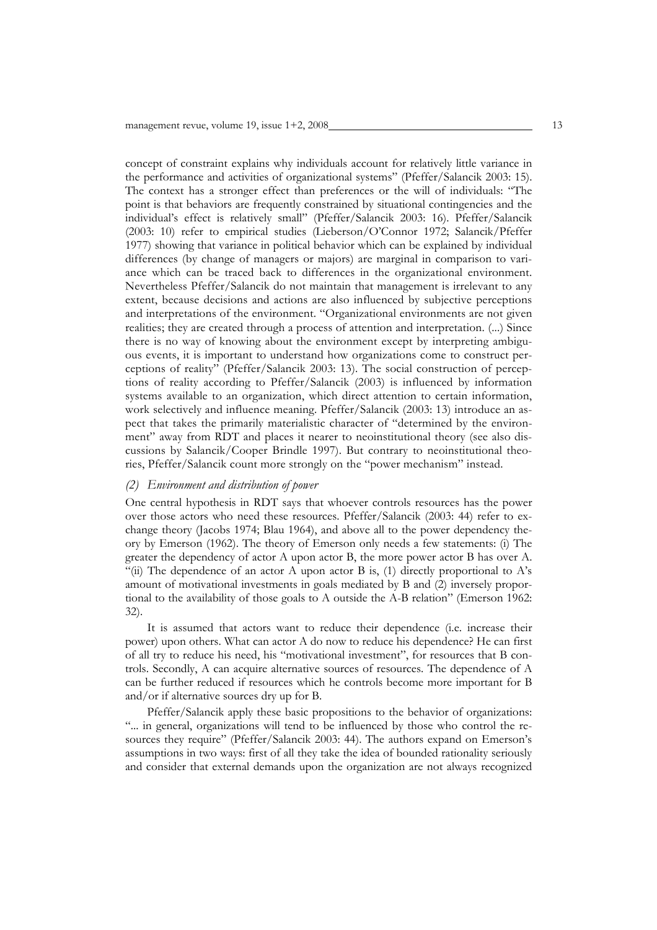concept of constraint explains why individuals account for relatively little variance in the performance and activities of organizational systems" (Pfeffer/Salancik 2003: 15). The context has a stronger effect than preferences or the will of individuals: "The point is that behaviors are frequently constrained by situational contingencies and the individual's effect is relatively small" (Pfeffer/Salancik 2003: 16). Pfeffer/Salancik (2003: 10) refer to empirical studies (Lieberson/O'Connor 1972; Salancik/Pfeffer 1977) showing that variance in political behavior which can be explained by individual differences (by change of managers or majors) are marginal in comparison to variance which can be traced back to differences in the organizational environment. Nevertheless Pfeffer/Salancik do not maintain that management is irrelevant to any extent, because decisions and actions are also influenced by subjective perceptions and interpretations of the environment. "Organizational environments are not given realities; they are created through a process of attention and interpretation. (...) Since there is no way of knowing about the environment except by interpreting ambiguous events, it is important to understand how organizations come to construct perceptions of reality" (Pfeffer/Salancik 2003: 13). The social construction of perceptions of reality according to Pfeffer/Salancik (2003) is influenced by information systems available to an organization, which direct attention to certain information, work selectively and influence meaning. Pfeffer/Salancik (2003: 13) introduce an aspect that takes the primarily materialistic character of "determined by the environment" away from RDT and places it nearer to neoinstitutional theory (see also discussions by Salancik/Cooper Brindle 1997). But contrary to neoinstitutional theories, Pfeffer/Salancik count more strongly on the "power mechanism" instead.

#### *(2) Environment and distribution of power*

One central hypothesis in RDT says that whoever controls resources has the power over those actors who need these resources. Pfeffer/Salancik (2003: 44) refer to exchange theory (Jacobs 1974; Blau 1964), and above all to the power dependency theory by Emerson (1962). The theory of Emerson only needs a few statements: (i) The greater the dependency of actor A upon actor B, the more power actor B has over A. "(ii) The dependence of an actor A upon actor B is,  $(1)$  directly proportional to A's amount of motivational investments in goals mediated by B and (2) inversely proportional to the availability of those goals to A outside the A-B relation" (Emerson 1962: 32).

It is assumed that actors want to reduce their dependence (i.e. increase their power) upon others. What can actor A do now to reduce his dependence? He can first of all try to reduce his need, his "motivational investment", for resources that B controls. Secondly, A can acquire alternative sources of resources. The dependence of A can be further reduced if resources which he controls become more important for B and/or if alternative sources dry up for B.

Pfeffer/Salancik apply these basic propositions to the behavior of organizations: "... in general, organizations will tend to be influenced by those who control the resources they require" (Pfeffer/Salancik 2003: 44). The authors expand on Emerson's assumptions in two ways: first of all they take the idea of bounded rationality seriously and consider that external demands upon the organization are not always recognized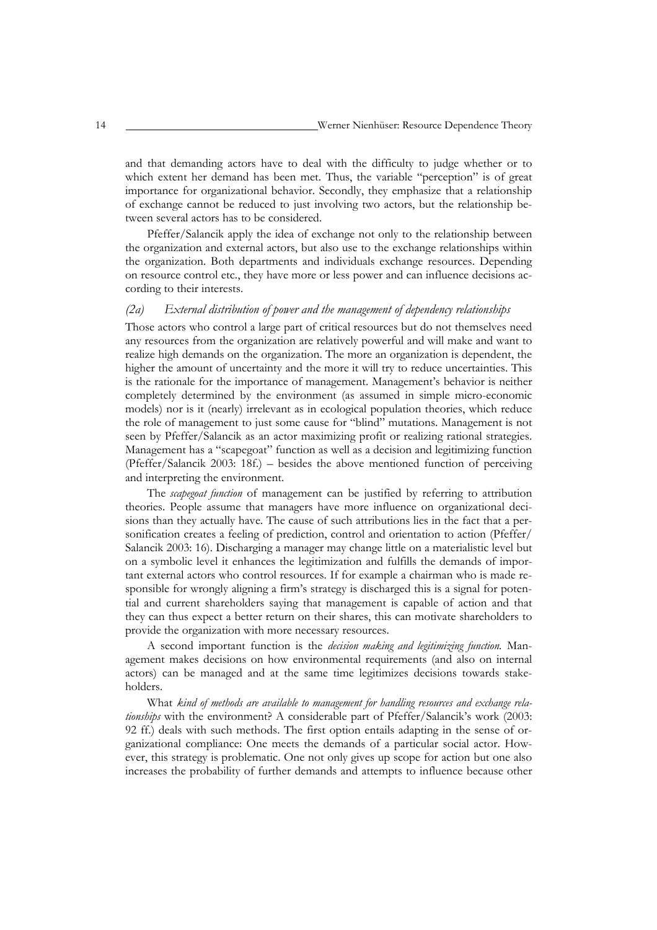and that demanding actors have to deal with the difficulty to judge whether or to which extent her demand has been met. Thus, the variable "perception" is of great importance for organizational behavior. Secondly, they emphasize that a relationship of exchange cannot be reduced to just involving two actors, but the relationship between several actors has to be considered.

Pfeffer/Salancik apply the idea of exchange not only to the relationship between the organization and external actors, but also use to the exchange relationships within the organization. Both departments and individuals exchange resources. Depending on resource control etc., they have more or less power and can influence decisions according to their interests.

## *(2a) External distribution of power and the management of dependency relationships*

Those actors who control a large part of critical resources but do not themselves need any resources from the organization are relatively powerful and will make and want to realize high demands on the organization. The more an organization is dependent, the higher the amount of uncertainty and the more it will try to reduce uncertainties. This is the rationale for the importance of management. Management's behavior is neither completely determined by the environment (as assumed in simple micro-economic models) nor is it (nearly) irrelevant as in ecological population theories, which reduce the role of management to just some cause for "blind" mutations. Management is not seen by Pfeffer/Salancik as an actor maximizing profit or realizing rational strategies. Management has a "scapegoat" function as well as a decision and legitimizing function (Pfeffer/Salancik 2003: 18f.) – besides the above mentioned function of perceiving and interpreting the environment.

The *scapegoat function* of management can be justified by referring to attribution theories. People assume that managers have more influence on organizational decisions than they actually have. The cause of such attributions lies in the fact that a personification creates a feeling of prediction, control and orientation to action (Pfeffer/ Salancik 2003: 16). Discharging a manager may change little on a materialistic level but on a symbolic level it enhances the legitimization and fulfills the demands of important external actors who control resources. If for example a chairman who is made responsible for wrongly aligning a firm's strategy is discharged this is a signal for potential and current shareholders saying that management is capable of action and that they can thus expect a better return on their shares, this can motivate shareholders to provide the organization with more necessary resources.

A second important function is the *decision making and legitimizing function.* Management makes decisions on how environmental requirements (and also on internal actors) can be managed and at the same time legitimizes decisions towards stakeholders.

What *kind of methods are available to management for handling resources and exchange relationships* with the environment? A considerable part of Pfeffer/Salancik's work (2003: 92 ff.) deals with such methods. The first option entails adapting in the sense of organizational compliance: One meets the demands of a particular social actor. However, this strategy is problematic. One not only gives up scope for action but one also increases the probability of further demands and attempts to influence because other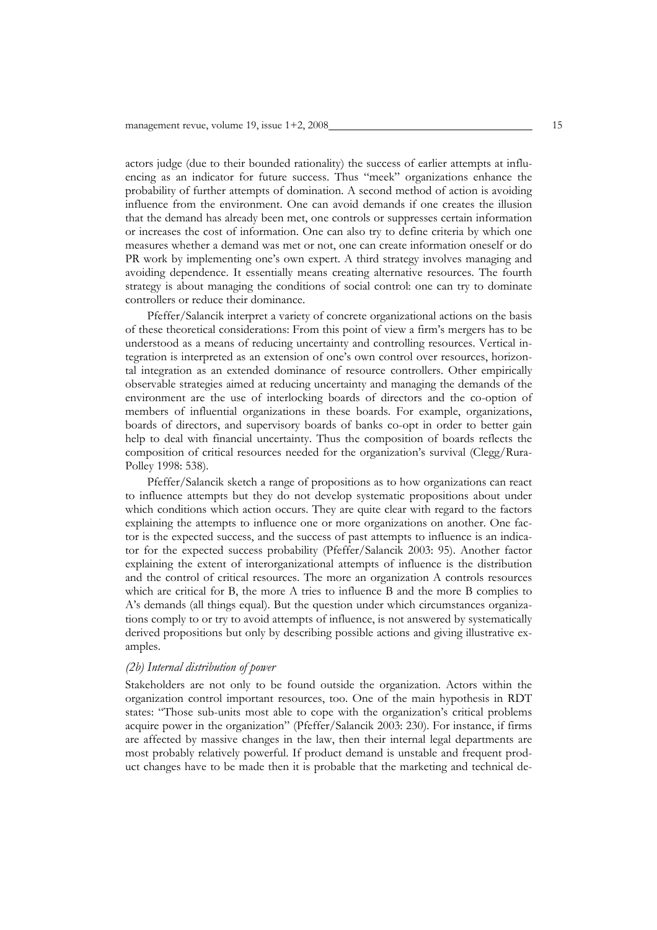actors judge (due to their bounded rationality) the success of earlier attempts at influencing as an indicator for future success. Thus "meek" organizations enhance the probability of further attempts of domination. A second method of action is avoiding influence from the environment. One can avoid demands if one creates the illusion that the demand has already been met, one controls or suppresses certain information or increases the cost of information. One can also try to define criteria by which one measures whether a demand was met or not, one can create information oneself or do PR work by implementing one's own expert. A third strategy involves managing and avoiding dependence. It essentially means creating alternative resources. The fourth strategy is about managing the conditions of social control: one can try to dominate controllers or reduce their dominance.

Pfeffer/Salancik interpret a variety of concrete organizational actions on the basis of these theoretical considerations: From this point of view a firm's mergers has to be understood as a means of reducing uncertainty and controlling resources. Vertical integration is interpreted as an extension of one's own control over resources, horizontal integration as an extended dominance of resource controllers. Other empirically observable strategies aimed at reducing uncertainty and managing the demands of the environment are the use of interlocking boards of directors and the co-option of members of influential organizations in these boards. For example, organizations, boards of directors, and supervisory boards of banks co-opt in order to better gain help to deal with financial uncertainty. Thus the composition of boards reflects the composition of critical resources needed for the organization's survival (Clegg/Rura-Polley 1998: 538).

Pfeffer/Salancik sketch a range of propositions as to how organizations can react to influence attempts but they do not develop systematic propositions about under which conditions which action occurs. They are quite clear with regard to the factors explaining the attempts to influence one or more organizations on another. One factor is the expected success, and the success of past attempts to influence is an indicator for the expected success probability (Pfeffer/Salancik 2003: 95). Another factor explaining the extent of interorganizational attempts of influence is the distribution and the control of critical resources. The more an organization A controls resources which are critical for B, the more A tries to influence B and the more B complies to A's demands (all things equal). But the question under which circumstances organizations comply to or try to avoid attempts of influence, is not answered by systematically derived propositions but only by describing possible actions and giving illustrative examples.

#### *(2b) Internal distribution of power*

Stakeholders are not only to be found outside the organization. Actors within the organization control important resources, too. One of the main hypothesis in RDT states: "Those sub-units most able to cope with the organization's critical problems acquire power in the organization" (Pfeffer/Salancik 2003: 230). For instance, if firms are affected by massive changes in the law, then their internal legal departments are most probably relatively powerful. If product demand is unstable and frequent product changes have to be made then it is probable that the marketing and technical de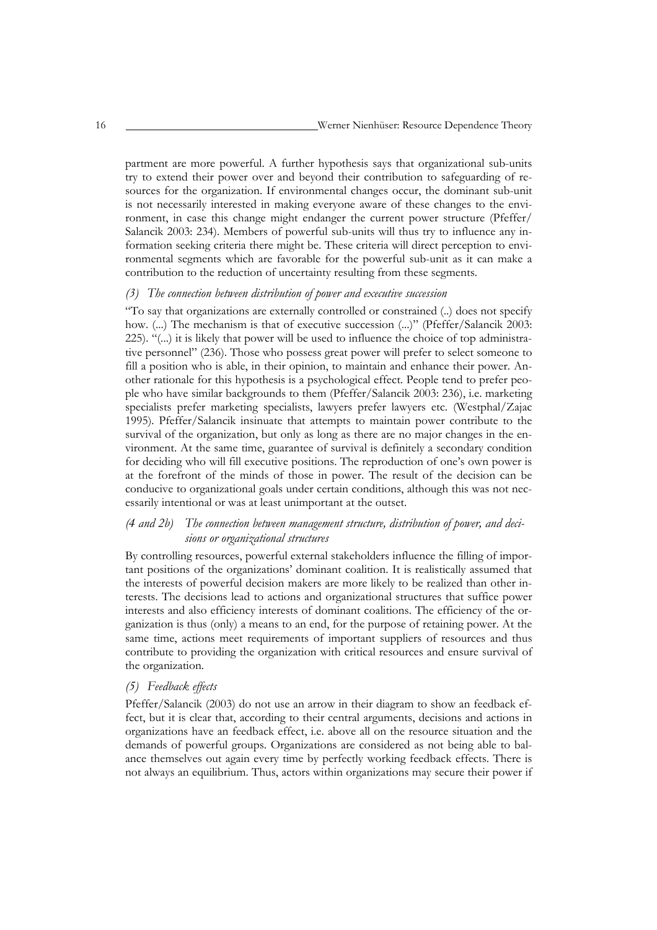partment are more powerful. A further hypothesis says that organizational sub-units try to extend their power over and beyond their contribution to safeguarding of resources for the organization. If environmental changes occur, the dominant sub-unit is not necessarily interested in making everyone aware of these changes to the environment, in case this change might endanger the current power structure (Pfeffer/ Salancik 2003: 234). Members of powerful sub-units will thus try to influence any information seeking criteria there might be. These criteria will direct perception to environmental segments which are favorable for the powerful sub-unit as it can make a contribution to the reduction of uncertainty resulting from these segments.

## *(3) The connection between distribution of power and executive succession*

"To say that organizations are externally controlled or constrained (..) does not specify how. (...) The mechanism is that of executive succession (...)" (Pfeffer/Salancik 2003: 225). "(...) it is likely that power will be used to influence the choice of top administrative personnel" (236). Those who possess great power will prefer to select someone to fill a position who is able, in their opinion, to maintain and enhance their power. Another rationale for this hypothesis is a psychological effect. People tend to prefer people who have similar backgrounds to them (Pfeffer/Salancik 2003: 236), i.e. marketing specialists prefer marketing specialists, lawyers prefer lawyers etc. (Westphal/Zajac 1995). Pfeffer/Salancik insinuate that attempts to maintain power contribute to the survival of the organization, but only as long as there are no major changes in the environment. At the same time, guarantee of survival is definitely a secondary condition for deciding who will fill executive positions. The reproduction of one's own power is at the forefront of the minds of those in power. The result of the decision can be conducive to organizational goals under certain conditions, although this was not necessarily intentional or was at least unimportant at the outset.

## *(4 and 2b) The connection between management structure, distribution of power, and decisions or organizational structures*

By controlling resources, powerful external stakeholders influence the filling of important positions of the organizations' dominant coalition. It is realistically assumed that the interests of powerful decision makers are more likely to be realized than other interests. The decisions lead to actions and organizational structures that suffice power interests and also efficiency interests of dominant coalitions. The efficiency of the organization is thus (only) a means to an end, for the purpose of retaining power. At the same time, actions meet requirements of important suppliers of resources and thus contribute to providing the organization with critical resources and ensure survival of the organization.

## *(5) Feedback effects*

Pfeffer/Salancik (2003) do not use an arrow in their diagram to show an feedback effect, but it is clear that, according to their central arguments, decisions and actions in organizations have an feedback effect, i.e. above all on the resource situation and the demands of powerful groups. Organizations are considered as not being able to balance themselves out again every time by perfectly working feedback effects. There is not always an equilibrium. Thus, actors within organizations may secure their power if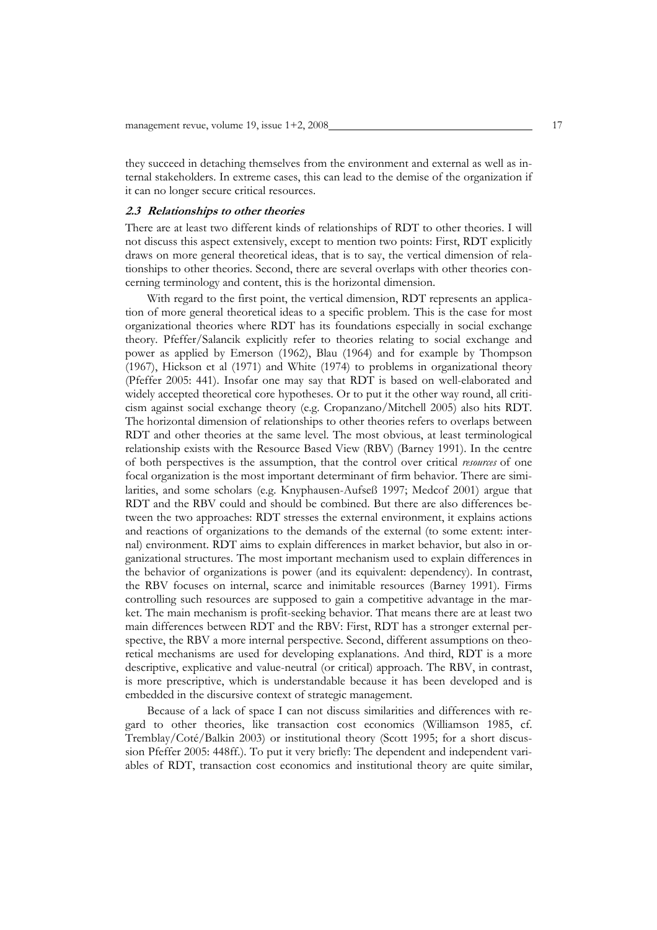they succeed in detaching themselves from the environment and external as well as internal stakeholders. In extreme cases, this can lead to the demise of the organization if it can no longer secure critical resources.

## **2.3 Relationships to other theories**

There are at least two different kinds of relationships of RDT to other theories. I will not discuss this aspect extensively, except to mention two points: First, RDT explicitly draws on more general theoretical ideas, that is to say, the vertical dimension of relationships to other theories. Second, there are several overlaps with other theories concerning terminology and content, this is the horizontal dimension.

With regard to the first point, the vertical dimension, RDT represents an application of more general theoretical ideas to a specific problem. This is the case for most organizational theories where RDT has its foundations especially in social exchange theory. Pfeffer/Salancik explicitly refer to theories relating to social exchange and power as applied by Emerson (1962), Blau (1964) and for example by Thompson (1967), Hickson et al (1971) and White (1974) to problems in organizational theory (Pfeffer 2005: 441). Insofar one may say that RDT is based on well-elaborated and widely accepted theoretical core hypotheses. Or to put it the other way round, all criticism against social exchange theory (e.g. Cropanzano/Mitchell 2005) also hits RDT. The horizontal dimension of relationships to other theories refers to overlaps between RDT and other theories at the same level. The most obvious, at least terminological relationship exists with the Resource Based View (RBV) (Barney 1991). In the centre of both perspectives is the assumption, that the control over critical *resources* of one focal organization is the most important determinant of firm behavior. There are similarities, and some scholars (e.g. Knyphausen-Aufseß 1997; Medcof 2001) argue that RDT and the RBV could and should be combined. But there are also differences between the two approaches: RDT stresses the external environment, it explains actions and reactions of organizations to the demands of the external (to some extent: internal) environment. RDT aims to explain differences in market behavior, but also in organizational structures. The most important mechanism used to explain differences in the behavior of organizations is power (and its equivalent: dependency). In contrast, the RBV focuses on internal, scarce and inimitable resources (Barney 1991). Firms controlling such resources are supposed to gain a competitive advantage in the market. The main mechanism is profit-seeking behavior. That means there are at least two main differences between RDT and the RBV: First, RDT has a stronger external perspective, the RBV a more internal perspective. Second, different assumptions on theoretical mechanisms are used for developing explanations. And third, RDT is a more descriptive, explicative and value-neutral (or critical) approach. The RBV, in contrast, is more prescriptive, which is understandable because it has been developed and is embedded in the discursive context of strategic management.

Because of a lack of space I can not discuss similarities and differences with regard to other theories, like transaction cost economics (Williamson 1985, cf. Tremblay/Coté/Balkin 2003) or institutional theory (Scott 1995; for a short discussion Pfeffer 2005: 448ff.). To put it very briefly: The dependent and independent variables of RDT, transaction cost economics and institutional theory are quite similar,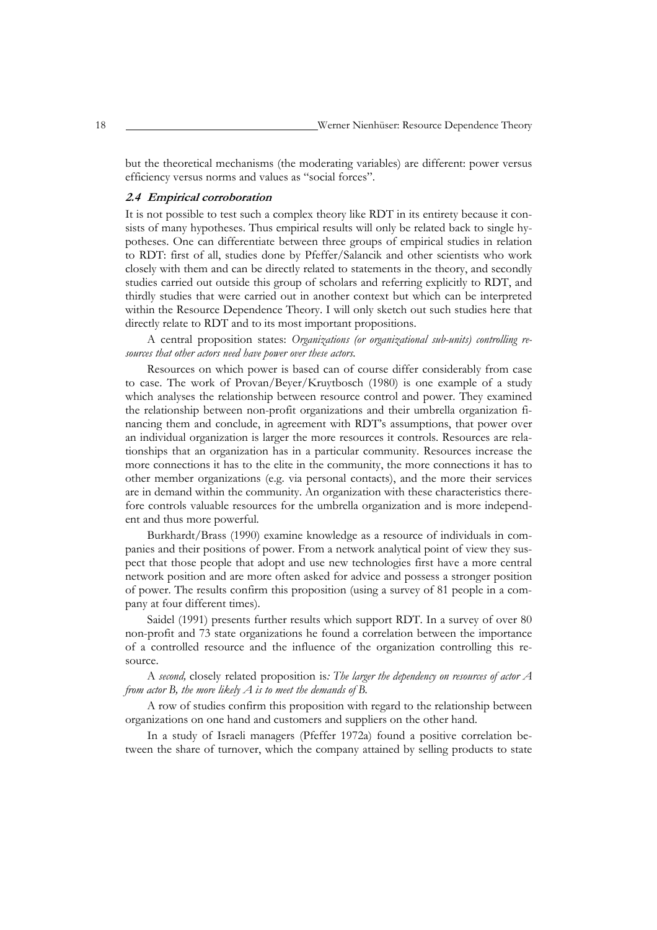but the theoretical mechanisms (the moderating variables) are different: power versus efficiency versus norms and values as "social forces".

#### **2.4 Empirical corroboration**

It is not possible to test such a complex theory like RDT in its entirety because it consists of many hypotheses. Thus empirical results will only be related back to single hypotheses. One can differentiate between three groups of empirical studies in relation to RDT: first of all, studies done by Pfeffer/Salancik and other scientists who work closely with them and can be directly related to statements in the theory, and secondly studies carried out outside this group of scholars and referring explicitly to RDT, and thirdly studies that were carried out in another context but which can be interpreted within the Resource Dependence Theory. I will only sketch out such studies here that directly relate to RDT and to its most important propositions.

A central proposition states: *Organizations (or organizational sub-units) controlling resources that other actors need have power over these actors.*

Resources on which power is based can of course differ considerably from case to case. The work of Provan/Beyer/Kruytbosch (1980) is one example of a study which analyses the relationship between resource control and power. They examined the relationship between non-profit organizations and their umbrella organization financing them and conclude, in agreement with RDT's assumptions, that power over an individual organization is larger the more resources it controls. Resources are relationships that an organization has in a particular community. Resources increase the more connections it has to the elite in the community, the more connections it has to other member organizations (e.g. via personal contacts), and the more their services are in demand within the community. An organization with these characteristics therefore controls valuable resources for the umbrella organization and is more independent and thus more powerful.

Burkhardt/Brass (1990) examine knowledge as a resource of individuals in companies and their positions of power. From a network analytical point of view they suspect that those people that adopt and use new technologies first have a more central network position and are more often asked for advice and possess a stronger position of power. The results confirm this proposition (using a survey of 81 people in a company at four different times).

Saidel (1991) presents further results which support RDT. In a survey of over 80 non-profit and 73 state organizations he found a correlation between the importance of a controlled resource and the influence of the organization controlling this resource.

A *second,* closely related proposition is*: The larger the dependency on resources of actor A from actor B, the more likely A is to meet the demands of B.* 

A row of studies confirm this proposition with regard to the relationship between organizations on one hand and customers and suppliers on the other hand.

In a study of Israeli managers (Pfeffer 1972a) found a positive correlation between the share of turnover, which the company attained by selling products to state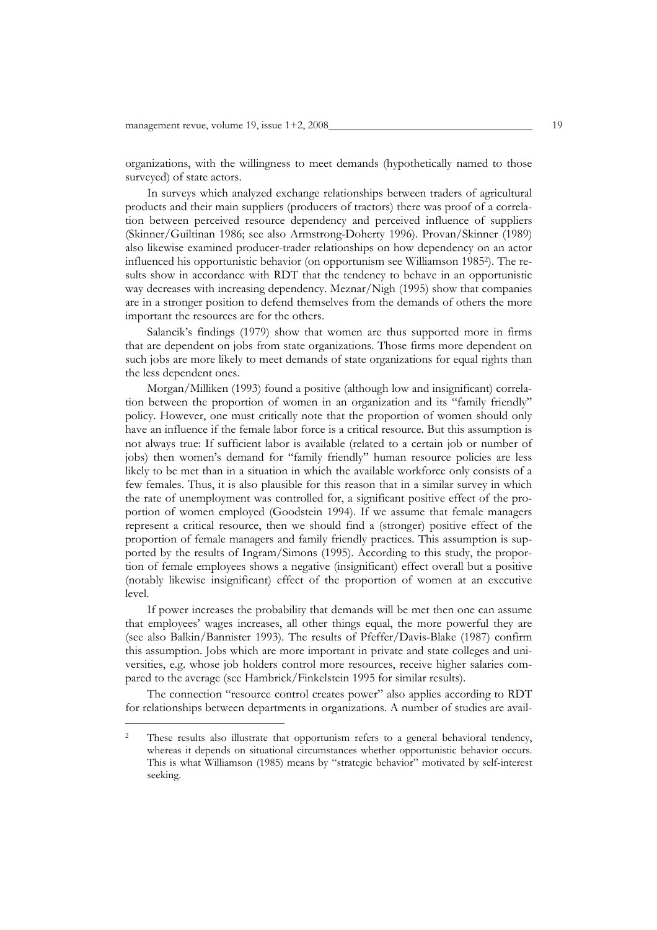organizations, with the willingness to meet demands (hypothetically named to those surveyed) of state actors.

In surveys which analyzed exchange relationships between traders of agricultural products and their main suppliers (producers of tractors) there was proof of a correlation between perceived resource dependency and perceived influence of suppliers (Skinner/Guiltinan 1986; see also Armstrong-Doherty 1996). Provan/Skinner (1989) also likewise examined producer-trader relationships on how dependency on an actor influenced his opportunistic behavior (on opportunism see Williamson 19852). The results show in accordance with RDT that the tendency to behave in an opportunistic way decreases with increasing dependency. Meznar/Nigh (1995) show that companies are in a stronger position to defend themselves from the demands of others the more important the resources are for the others.

Salancik's findings (1979) show that women are thus supported more in firms that are dependent on jobs from state organizations. Those firms more dependent on such jobs are more likely to meet demands of state organizations for equal rights than the less dependent ones.

Morgan/Milliken (1993) found a positive (although low and insignificant) correlation between the proportion of women in an organization and its "family friendly" policy. However, one must critically note that the proportion of women should only have an influence if the female labor force is a critical resource. But this assumption is not always true: If sufficient labor is available (related to a certain job or number of jobs) then women's demand for "family friendly" human resource policies are less likely to be met than in a situation in which the available workforce only consists of a few females. Thus, it is also plausible for this reason that in a similar survey in which the rate of unemployment was controlled for, a significant positive effect of the proportion of women employed (Goodstein 1994). If we assume that female managers represent a critical resource, then we should find a (stronger) positive effect of the proportion of female managers and family friendly practices. This assumption is supported by the results of Ingram/Simons (1995). According to this study, the proportion of female employees shows a negative (insignificant) effect overall but a positive (notably likewise insignificant) effect of the proportion of women at an executive level.

If power increases the probability that demands will be met then one can assume that employees' wages increases, all other things equal, the more powerful they are (see also Balkin/Bannister 1993). The results of Pfeffer/Davis-Blake (1987) confirm this assumption. Jobs which are more important in private and state colleges and universities, e.g. whose job holders control more resources, receive higher salaries compared to the average (see Hambrick/Finkelstein 1995 for similar results).

The connection "resource control creates power" also applies according to RDT for relationships between departments in organizations. A number of studies are avail-

<sup>&</sup>lt;sup>2</sup> These results also illustrate that opportunism refers to a general behavioral tendency, whereas it depends on situational circumstances whether opportunistic behavior occurs. This is what Williamson (1985) means by "strategic behavior" motivated by self-interest seeking.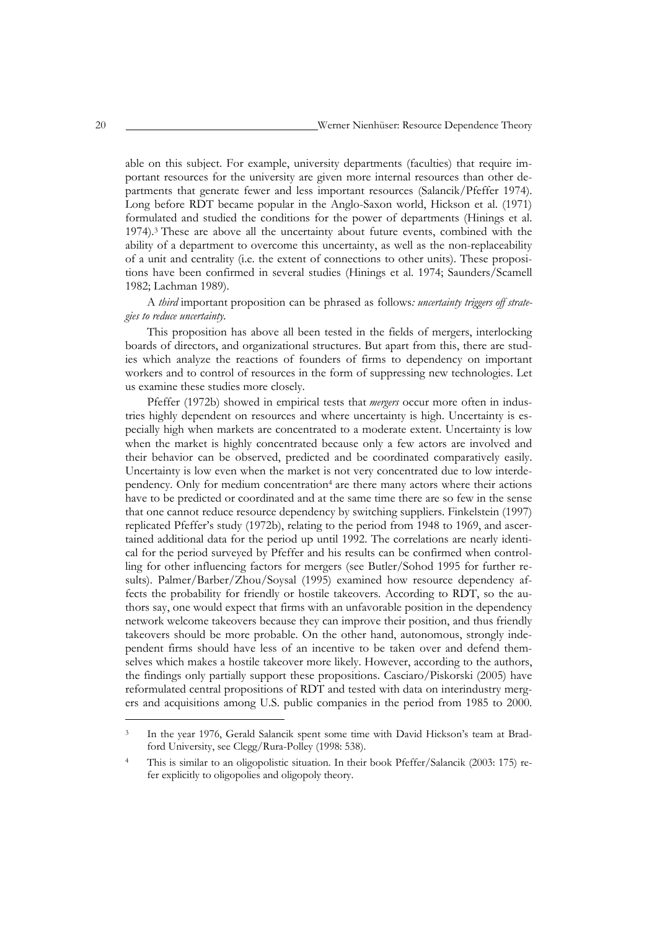able on this subject. For example, university departments (faculties) that require important resources for the university are given more internal resources than other departments that generate fewer and less important resources (Salancik/Pfeffer 1974). Long before RDT became popular in the Anglo-Saxon world, Hickson et al. (1971) formulated and studied the conditions for the power of departments (Hinings et al. 1974).3 These are above all the uncertainty about future events, combined with the ability of a department to overcome this uncertainty, as well as the non-replaceability of a unit and centrality (i.e. the extent of connections to other units). These propositions have been confirmed in several studies (Hinings et al. 1974; Saunders/Scamell 1982; Lachman 1989).

A *third* important proposition can be phrased as follows*: uncertainty triggers off strategies to reduce uncertainty.* 

This proposition has above all been tested in the fields of mergers, interlocking boards of directors, and organizational structures. But apart from this, there are studies which analyze the reactions of founders of firms to dependency on important workers and to control of resources in the form of suppressing new technologies. Let us examine these studies more closely.

Pfeffer (1972b) showed in empirical tests that *mergers* occur more often in industries highly dependent on resources and where uncertainty is high. Uncertainty is especially high when markets are concentrated to a moderate extent. Uncertainty is low when the market is highly concentrated because only a few actors are involved and their behavior can be observed, predicted and be coordinated comparatively easily. Uncertainty is low even when the market is not very concentrated due to low interdependency. Only for medium concentration4 are there many actors where their actions have to be predicted or coordinated and at the same time there are so few in the sense that one cannot reduce resource dependency by switching suppliers. Finkelstein (1997) replicated Pfeffer's study (1972b), relating to the period from 1948 to 1969, and ascertained additional data for the period up until 1992. The correlations are nearly identical for the period surveyed by Pfeffer and his results can be confirmed when controlling for other influencing factors for mergers (see Butler/Sohod 1995 for further results). Palmer/Barber/Zhou/Soysal (1995) examined how resource dependency affects the probability for friendly or hostile takeovers. According to RDT, so the authors say, one would expect that firms with an unfavorable position in the dependency network welcome takeovers because they can improve their position, and thus friendly takeovers should be more probable. On the other hand, autonomous, strongly independent firms should have less of an incentive to be taken over and defend themselves which makes a hostile takeover more likely. However, according to the authors, the findings only partially support these propositions. Casciaro/Piskorski (2005) have reformulated central propositions of RDT and tested with data on interindustry mergers and acquisitions among U.S. public companies in the period from 1985 to 2000.

<sup>3</sup> In the year 1976, Gerald Salancik spent some time with David Hickson's team at Bradford University, see Clegg/Rura-Polley (1998: 538).

<sup>&</sup>lt;sup>4</sup> This is similar to an oligopolistic situation. In their book Pfeffer/Salancik (2003: 175) refer explicitly to oligopolies and oligopoly theory.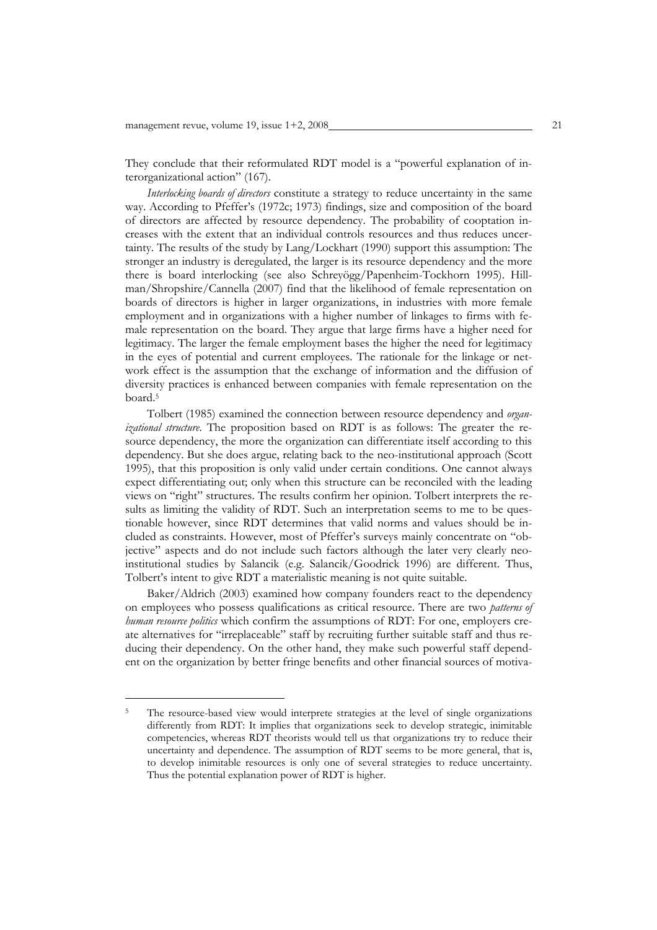They conclude that their reformulated RDT model is a "powerful explanation of interorganizational action" (167).

*Interlocking boards of directors* constitute a strategy to reduce uncertainty in the same way. According to Pfeffer's (1972c; 1973) findings, size and composition of the board of directors are affected by resource dependency. The probability of cooptation increases with the extent that an individual controls resources and thus reduces uncertainty. The results of the study by Lang/Lockhart (1990) support this assumption: The stronger an industry is deregulated, the larger is its resource dependency and the more there is board interlocking (see also Schreyögg/Papenheim-Tockhorn 1995). Hillman/Shropshire/Cannella (2007) find that the likelihood of female representation on boards of directors is higher in larger organizations, in industries with more female employment and in organizations with a higher number of linkages to firms with female representation on the board. They argue that large firms have a higher need for legitimacy. The larger the female employment bases the higher the need for legitimacy in the eyes of potential and current employees. The rationale for the linkage or network effect is the assumption that the exchange of information and the diffusion of diversity practices is enhanced between companies with female representation on the board.5

Tolbert (1985) examined the connection between resource dependency and *organizational structure*. The proposition based on RDT is as follows: The greater the resource dependency, the more the organization can differentiate itself according to this dependency. But she does argue, relating back to the neo-institutional approach (Scott 1995), that this proposition is only valid under certain conditions. One cannot always expect differentiating out; only when this structure can be reconciled with the leading views on "right" structures. The results confirm her opinion. Tolbert interprets the results as limiting the validity of RDT. Such an interpretation seems to me to be questionable however, since RDT determines that valid norms and values should be included as constraints. However, most of Pfeffer's surveys mainly concentrate on "objective" aspects and do not include such factors although the later very clearly neoinstitutional studies by Salancik (e.g. Salancik/Goodrick 1996) are different. Thus, Tolbert's intent to give RDT a materialistic meaning is not quite suitable.

Baker/Aldrich (2003) examined how company founders react to the dependency on employees who possess qualifications as critical resource. There are two *patterns of human resource politics* which confirm the assumptions of RDT: For one, employers create alternatives for "irreplaceable" staff by recruiting further suitable staff and thus reducing their dependency. On the other hand, they make such powerful staff dependent on the organization by better fringe benefits and other financial sources of motiva-

<sup>&</sup>lt;sup>5</sup> The resource-based view would interprete strategies at the level of single organizations differently from RDT: It implies that organizations seek to develop strategic, inimitable competencies, whereas RDT theorists would tell us that organizations try to reduce their uncertainty and dependence. The assumption of RDT seems to be more general, that is, to develop inimitable resources is only one of several strategies to reduce uncertainty. Thus the potential explanation power of RDT is higher.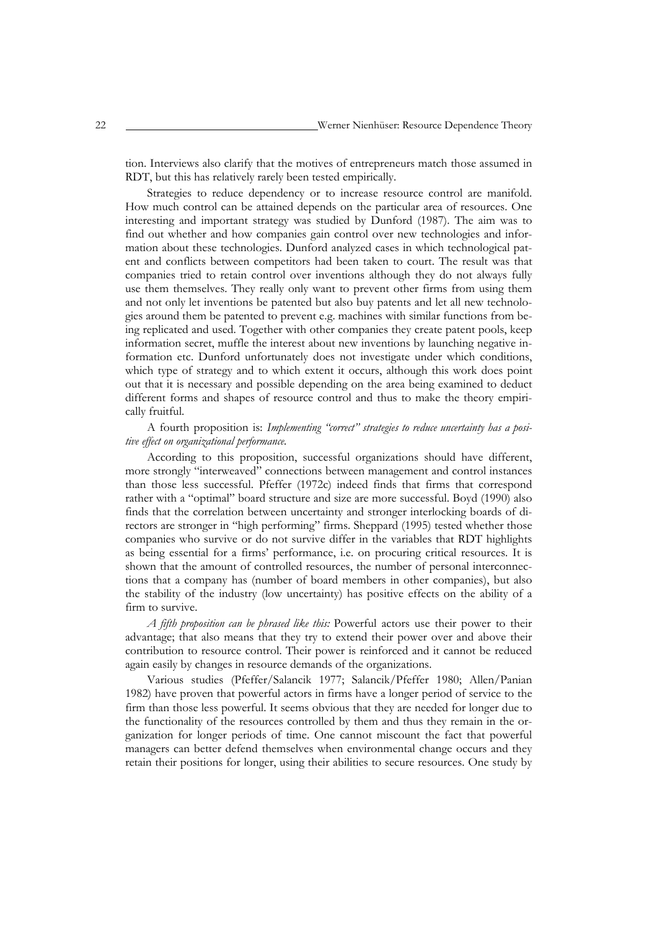tion. Interviews also clarify that the motives of entrepreneurs match those assumed in RDT, but this has relatively rarely been tested empirically.

Strategies to reduce dependency or to increase resource control are manifold. How much control can be attained depends on the particular area of resources. One interesting and important strategy was studied by Dunford (1987). The aim was to find out whether and how companies gain control over new technologies and information about these technologies. Dunford analyzed cases in which technological patent and conflicts between competitors had been taken to court. The result was that companies tried to retain control over inventions although they do not always fully use them themselves. They really only want to prevent other firms from using them and not only let inventions be patented but also buy patents and let all new technologies around them be patented to prevent e.g. machines with similar functions from being replicated and used. Together with other companies they create patent pools, keep information secret, muffle the interest about new inventions by launching negative information etc. Dunford unfortunately does not investigate under which conditions, which type of strategy and to which extent it occurs, although this work does point out that it is necessary and possible depending on the area being examined to deduct different forms and shapes of resource control and thus to make the theory empirically fruitful.

## A fourth proposition is: *Implementing "correct" strategies to reduce uncertainty has a positive effect on organizational performance.*

According to this proposition, successful organizations should have different, more strongly "interweaved" connections between management and control instances than those less successful. Pfeffer (1972c) indeed finds that firms that correspond rather with a "optimal" board structure and size are more successful. Boyd (1990) also finds that the correlation between uncertainty and stronger interlocking boards of directors are stronger in "high performing" firms. Sheppard (1995) tested whether those companies who survive or do not survive differ in the variables that RDT highlights as being essential for a firms' performance, i.e. on procuring critical resources. It is shown that the amount of controlled resources, the number of personal interconnections that a company has (number of board members in other companies), but also the stability of the industry (low uncertainty) has positive effects on the ability of a firm to survive.

*A fifth proposition can be phrased like this:* Powerful actors use their power to their advantage; that also means that they try to extend their power over and above their contribution to resource control. Their power is reinforced and it cannot be reduced again easily by changes in resource demands of the organizations.

Various studies (Pfeffer/Salancik 1977; Salancik/Pfeffer 1980; Allen/Panian 1982) have proven that powerful actors in firms have a longer period of service to the firm than those less powerful. It seems obvious that they are needed for longer due to the functionality of the resources controlled by them and thus they remain in the organization for longer periods of time. One cannot miscount the fact that powerful managers can better defend themselves when environmental change occurs and they retain their positions for longer, using their abilities to secure resources. One study by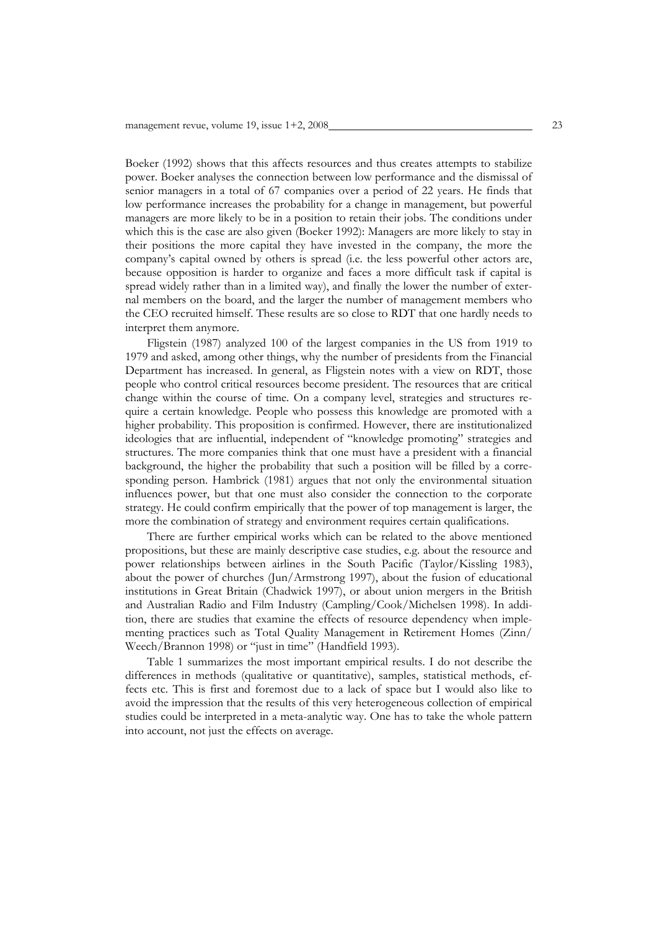Boeker (1992) shows that this affects resources and thus creates attempts to stabilize power. Boeker analyses the connection between low performance and the dismissal of senior managers in a total of 67 companies over a period of 22 years. He finds that low performance increases the probability for a change in management, but powerful managers are more likely to be in a position to retain their jobs. The conditions under which this is the case are also given (Boeker 1992): Managers are more likely to stay in their positions the more capital they have invested in the company, the more the company's capital owned by others is spread (i.e. the less powerful other actors are, because opposition is harder to organize and faces a more difficult task if capital is spread widely rather than in a limited way), and finally the lower the number of external members on the board, and the larger the number of management members who the CEO recruited himself. These results are so close to RDT that one hardly needs to interpret them anymore.

Fligstein (1987) analyzed 100 of the largest companies in the US from 1919 to 1979 and asked, among other things, why the number of presidents from the Financial Department has increased. In general, as Fligstein notes with a view on RDT, those people who control critical resources become president. The resources that are critical change within the course of time. On a company level, strategies and structures require a certain knowledge. People who possess this knowledge are promoted with a higher probability. This proposition is confirmed. However, there are institutionalized ideologies that are influential, independent of "knowledge promoting" strategies and structures. The more companies think that one must have a president with a financial background, the higher the probability that such a position will be filled by a corresponding person. Hambrick (1981) argues that not only the environmental situation influences power, but that one must also consider the connection to the corporate strategy. He could confirm empirically that the power of top management is larger, the more the combination of strategy and environment requires certain qualifications.

There are further empirical works which can be related to the above mentioned propositions, but these are mainly descriptive case studies, e.g. about the resource and power relationships between airlines in the South Pacific (Taylor/Kissling 1983), about the power of churches (Jun/Armstrong 1997), about the fusion of educational institutions in Great Britain (Chadwick 1997), or about union mergers in the British and Australian Radio and Film Industry (Campling/Cook/Michelsen 1998). In addition, there are studies that examine the effects of resource dependency when implementing practices such as Total Quality Management in Retirement Homes (Zinn/ Weech/Brannon 1998) or "just in time" (Handfield 1993).

Table 1 summarizes the most important empirical results. I do not describe the differences in methods (qualitative or quantitative), samples, statistical methods, effects etc. This is first and foremost due to a lack of space but I would also like to avoid the impression that the results of this very heterogeneous collection of empirical studies could be interpreted in a meta-analytic way. One has to take the whole pattern into account, not just the effects on average.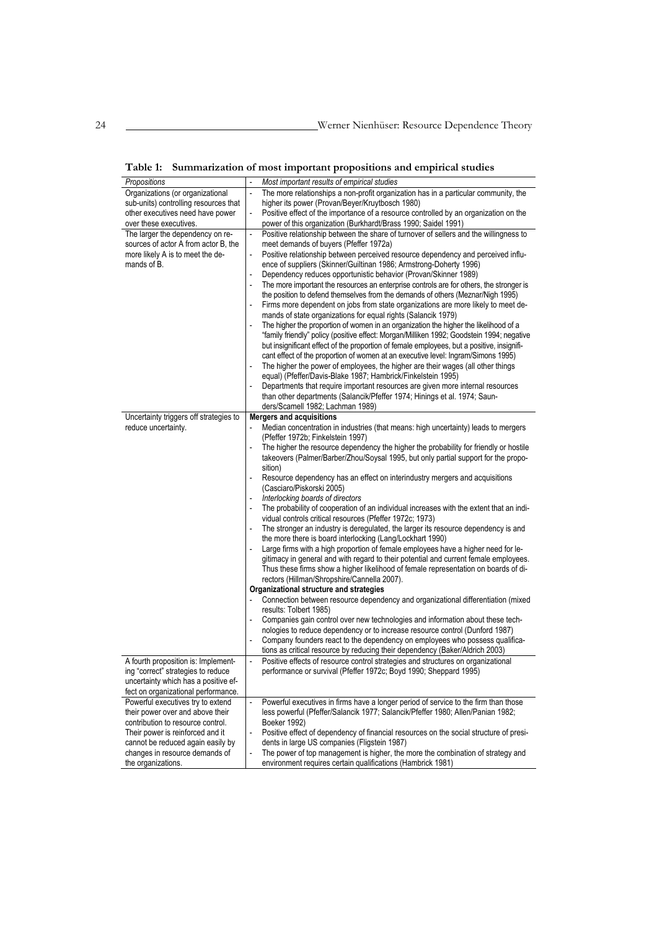**Table 1: Summarization of most important propositions and empirical studies** 

| Propositions                                                             | ÷,<br>Most important results of empirical studies                                                                                                     |
|--------------------------------------------------------------------------|-------------------------------------------------------------------------------------------------------------------------------------------------------|
| Organizations (or organizational                                         | $\overline{\phantom{a}}$<br>The more relationships a non-profit organization has in a particular community, the                                       |
| sub-units) controlling resources that                                    | higher its power (Provan/Beyer/Kruytbosch 1980)                                                                                                       |
| other executives need have power                                         | Positive effect of the importance of a resource controlled by an organization on the                                                                  |
| over these executives.                                                   | power of this organization (Burkhardt/Brass 1990; Saidel 1991)                                                                                        |
| The larger the dependency on re-                                         | Positive relationship between the share of turnover of sellers and the willingness to<br>$\overline{\phantom{a}}$                                     |
| sources of actor A from actor B, the                                     | meet demands of buyers (Pfeffer 1972a)                                                                                                                |
| more likely A is to meet the de-                                         | Positive relationship between perceived resource dependency and perceived influ-<br>$\overline{\phantom{a}}$                                          |
| mands of B.                                                              | ence of suppliers (Skinner/Guiltinan 1986; Armstrong-Doherty 1996)                                                                                    |
|                                                                          | Dependency reduces opportunistic behavior (Provan/Skinner 1989)<br>$\overline{a}$                                                                     |
|                                                                          | The more important the resources an enterprise controls are for others, the stronger is<br>÷,                                                         |
|                                                                          | the position to defend themselves from the demands of others (Meznar/Nigh 1995)                                                                       |
|                                                                          | Firms more dependent on jobs from state organizations are more likely to meet de-<br>$\overline{a}$                                                   |
|                                                                          | mands of state organizations for equal rights (Salancik 1979)                                                                                         |
|                                                                          | The higher the proportion of women in an organization the higher the likelihood of a<br>$\overline{a}$                                                |
|                                                                          | "family friendly" policy (positive effect: Morgan/Milliken 1992; Goodstein 1994; negative                                                             |
|                                                                          | but insignificant effect of the proportion of female employees, but a positive, insignifi-                                                            |
|                                                                          | cant effect of the proportion of women at an executive level: Ingram/Simons 1995)                                                                     |
|                                                                          | The higher the power of employees, the higher are their wages (all other things                                                                       |
|                                                                          | equal) (Pfeffer/Davis-Blake 1987; Hambrick/Finkelstein 1995)                                                                                          |
|                                                                          | Departments that require important resources are given more internal resources                                                                        |
|                                                                          | than other departments (Salancik/Pfeffer 1974; Hinings et al. 1974; Saun-                                                                             |
|                                                                          | ders/Scamell 1982; Lachman 1989)                                                                                                                      |
| Uncertainty triggers off strategies to                                   | <b>Mergers and acquisitions</b>                                                                                                                       |
| reduce uncertainty.                                                      | Median concentration in industries (that means: high uncertainty) leads to mergers                                                                    |
|                                                                          | (Pfeffer 1972b; Finkelstein 1997)                                                                                                                     |
|                                                                          | The higher the resource dependency the higher the probability for friendly or hostile<br>$\overline{a}$                                               |
|                                                                          | takeovers (Palmer/Barber/Zhou/Soysal 1995, but only partial support for the propo-                                                                    |
|                                                                          | sition)                                                                                                                                               |
|                                                                          | Resource dependency has an effect on interindustry mergers and acquisitions<br>÷,                                                                     |
|                                                                          | (Casciaro/Piskorski 2005)                                                                                                                             |
|                                                                          | Interlocking boards of directors                                                                                                                      |
|                                                                          | The probability of cooperation of an individual increases with the extent that an indi-<br>$\overline{\phantom{a}}$                                   |
|                                                                          | vidual controls critical resources (Pfeffer 1972c; 1973)                                                                                              |
|                                                                          | The stronger an industry is deregulated, the larger its resource dependency is and                                                                    |
|                                                                          | the more there is board interlocking (Lang/Lockhart 1990)                                                                                             |
|                                                                          | Large firms with a high proportion of female employees have a higher need for le-<br>$\overline{a}$                                                   |
|                                                                          | gitimacy in general and with regard to their potential and current female employees.                                                                  |
|                                                                          | Thus these firms show a higher likelihood of female representation on boards of di-                                                                   |
|                                                                          | rectors (Hillman/Shropshire/Cannella 2007).                                                                                                           |
|                                                                          | Organizational structure and strategies                                                                                                               |
|                                                                          | Connection between resource dependency and organizational differentiation (mixed                                                                      |
|                                                                          | results: Tolbert 1985)                                                                                                                                |
|                                                                          | Companies gain control over new technologies and information about these tech-<br>$\overline{\phantom{a}}$                                            |
|                                                                          | nologies to reduce dependency or to increase resource control (Dunford 1987)                                                                          |
|                                                                          | Company founders react to the dependency on employees who possess qualifica-<br>$\overline{a}$                                                        |
|                                                                          | tions as critical resource by reducing their dependency (Baker/Aldrich 2003)                                                                          |
| A fourth proposition is: Implement-                                      | Positive effects of resource control strategies and structures on organizational<br>performance or survival (Pfeffer 1972c; Boyd 1990; Sheppard 1995) |
| ing "correct" strategies to reduce                                       |                                                                                                                                                       |
| uncertainty which has a positive ef-                                     |                                                                                                                                                       |
| fect on organizational performance.<br>Powerful executives try to extend | Powerful executives in firms have a longer period of service to the firm than those<br>$\overline{\phantom{a}}$                                       |
|                                                                          |                                                                                                                                                       |
| their power over and above their<br>contribution to resource control.    | less powerful (Pfeffer/Salancik 1977; Salancik/Pfeffer 1980; Allen/Panian 1982;                                                                       |
| Their power is reinforced and it                                         | Boeker 1992)<br>Positive effect of dependency of financial resources on the social structure of presi-<br>$\overline{\phantom{a}}$                    |
| cannot be reduced again easily by                                        | dents in large US companies (Fligstein 1987)                                                                                                          |
| changes in resource demands of                                           | The power of top management is higher, the more the combination of strategy and<br>$\overline{\phantom{a}}$                                           |
| the organizations.                                                       | environment requires certain qualifications (Hambrick 1981)                                                                                           |
|                                                                          |                                                                                                                                                       |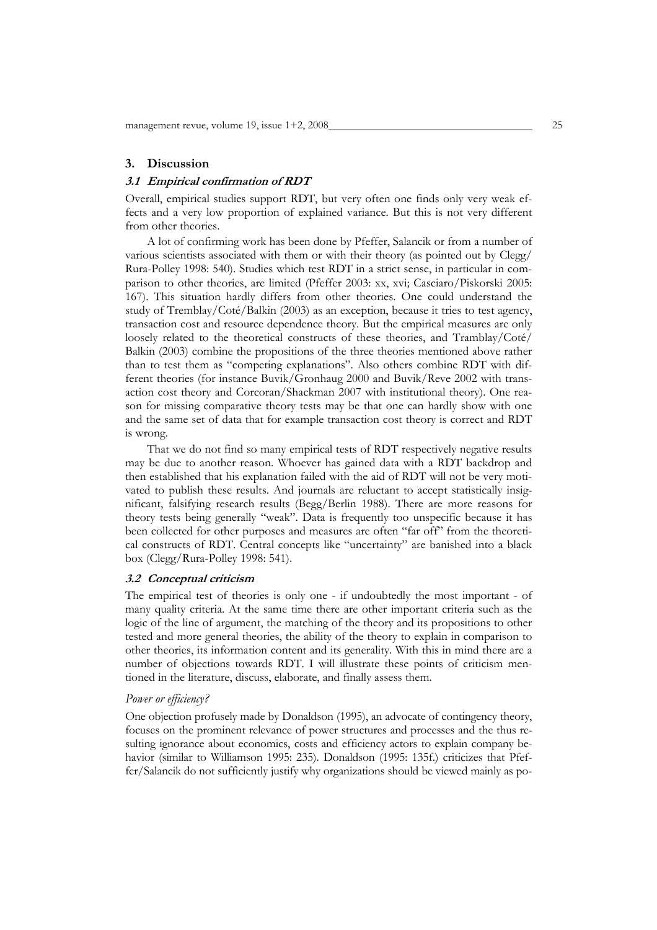## **3. Discussion**

#### **3.1 Empirical confirmation of RDT**

Overall, empirical studies support RDT, but very often one finds only very weak effects and a very low proportion of explained variance. But this is not very different from other theories.

A lot of confirming work has been done by Pfeffer, Salancik or from a number of various scientists associated with them or with their theory (as pointed out by Clegg/ Rura-Polley 1998: 540). Studies which test RDT in a strict sense, in particular in comparison to other theories, are limited (Pfeffer 2003: xx, xvi; Casciaro/Piskorski 2005: 167). This situation hardly differs from other theories. One could understand the study of Tremblay/Coté/Balkin (2003) as an exception, because it tries to test agency, transaction cost and resource dependence theory. But the empirical measures are only loosely related to the theoretical constructs of these theories, and Tramblay/Coté/ Balkin (2003) combine the propositions of the three theories mentioned above rather than to test them as "competing explanations". Also others combine RDT with different theories (for instance Buvik/Gronhaug 2000 and Buvik/Reve 2002 with transaction cost theory and Corcoran/Shackman 2007 with institutional theory). One reason for missing comparative theory tests may be that one can hardly show with one and the same set of data that for example transaction cost theory is correct and RDT is wrong.

That we do not find so many empirical tests of RDT respectively negative results may be due to another reason. Whoever has gained data with a RDT backdrop and then established that his explanation failed with the aid of RDT will not be very motivated to publish these results. And journals are reluctant to accept statistically insignificant, falsifying research results (Begg/Berlin 1988). There are more reasons for theory tests being generally "weak". Data is frequently too unspecific because it has been collected for other purposes and measures are often "far off" from the theoretical constructs of RDT. Central concepts like "uncertainty" are banished into a black box (Clegg/Rura-Polley 1998: 541).

## **3.2 Conceptual criticism**

The empirical test of theories is only one - if undoubtedly the most important - of many quality criteria. At the same time there are other important criteria such as the logic of the line of argument, the matching of the theory and its propositions to other tested and more general theories, the ability of the theory to explain in comparison to other theories, its information content and its generality. With this in mind there are a number of objections towards RDT. I will illustrate these points of criticism mentioned in the literature, discuss, elaborate, and finally assess them.

## *Power or efficiency?*

One objection profusely made by Donaldson (1995), an advocate of contingency theory, focuses on the prominent relevance of power structures and processes and the thus resulting ignorance about economics, costs and efficiency actors to explain company behavior (similar to Williamson 1995: 235). Donaldson (1995: 135f.) criticizes that Pfeffer/Salancik do not sufficiently justify why organizations should be viewed mainly as po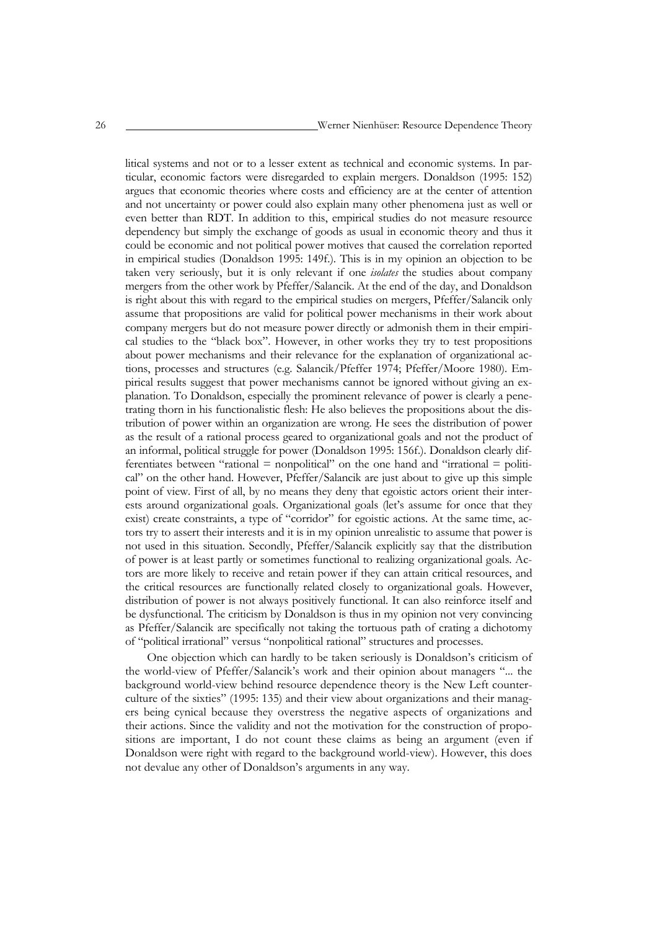litical systems and not or to a lesser extent as technical and economic systems. In particular, economic factors were disregarded to explain mergers. Donaldson (1995: 152) argues that economic theories where costs and efficiency are at the center of attention and not uncertainty or power could also explain many other phenomena just as well or even better than RDT. In addition to this, empirical studies do not measure resource dependency but simply the exchange of goods as usual in economic theory and thus it could be economic and not political power motives that caused the correlation reported in empirical studies (Donaldson 1995: 149f.). This is in my opinion an objection to be taken very seriously, but it is only relevant if one *isolates* the studies about company mergers from the other work by Pfeffer/Salancik. At the end of the day, and Donaldson is right about this with regard to the empirical studies on mergers, Pfeffer/Salancik only assume that propositions are valid for political power mechanisms in their work about company mergers but do not measure power directly or admonish them in their empirical studies to the "black box". However, in other works they try to test propositions about power mechanisms and their relevance for the explanation of organizational actions, processes and structures (e.g. Salancik/Pfeffer 1974; Pfeffer/Moore 1980). Empirical results suggest that power mechanisms cannot be ignored without giving an explanation. To Donaldson, especially the prominent relevance of power is clearly a penetrating thorn in his functionalistic flesh: He also believes the propositions about the distribution of power within an organization are wrong. He sees the distribution of power as the result of a rational process geared to organizational goals and not the product of an informal, political struggle for power (Donaldson 1995: 156f.). Donaldson clearly differentiates between "rational = nonpolitical" on the one hand and "irrational = political" on the other hand. However, Pfeffer/Salancik are just about to give up this simple point of view. First of all, by no means they deny that egoistic actors orient their interests around organizational goals. Organizational goals (let's assume for once that they exist) create constraints, a type of "corridor" for egoistic actions. At the same time, actors try to assert their interests and it is in my opinion unrealistic to assume that power is not used in this situation. Secondly, Pfeffer/Salancik explicitly say that the distribution of power is at least partly or sometimes functional to realizing organizational goals. Actors are more likely to receive and retain power if they can attain critical resources, and the critical resources are functionally related closely to organizational goals. However, distribution of power is not always positively functional. It can also reinforce itself and be dysfunctional. The criticism by Donaldson is thus in my opinion not very convincing as Pfeffer/Salancik are specifically not taking the tortuous path of crating a dichotomy of "political irrational" versus "nonpolitical rational" structures and processes.

One objection which can hardly to be taken seriously is Donaldson's criticism of the world-view of Pfeffer/Salancik's work and their opinion about managers "... the background world-view behind resource dependence theory is the New Left counterculture of the sixties" (1995: 135) and their view about organizations and their managers being cynical because they overstress the negative aspects of organizations and their actions. Since the validity and not the motivation for the construction of propositions are important, I do not count these claims as being an argument (even if Donaldson were right with regard to the background world-view). However, this does not devalue any other of Donaldson's arguments in any way.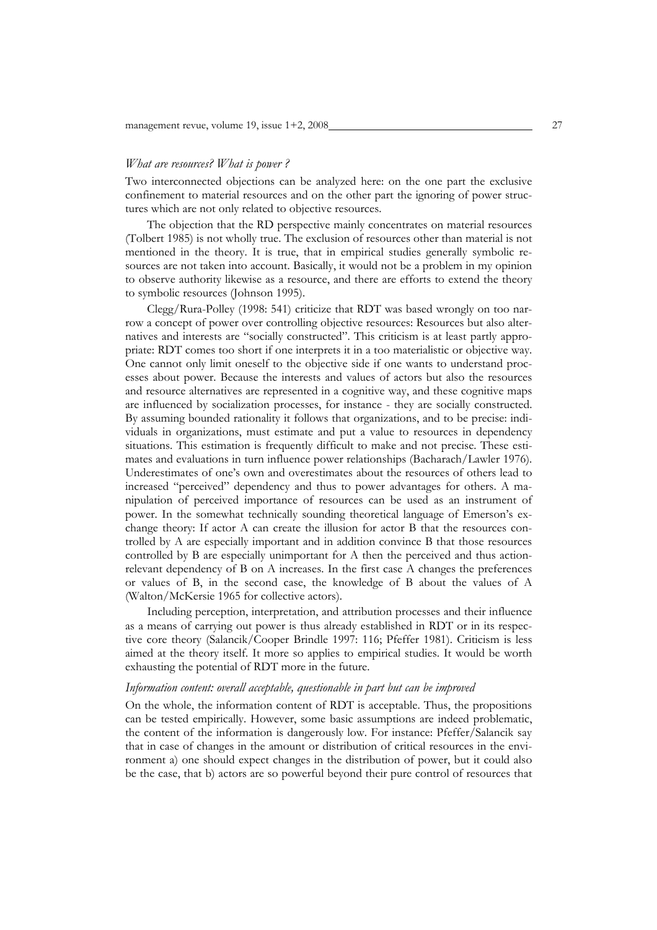## *What are resources? What is power ?*

Two interconnected objections can be analyzed here: on the one part the exclusive confinement to material resources and on the other part the ignoring of power structures which are not only related to objective resources.

The objection that the RD perspective mainly concentrates on material resources (Tolbert 1985) is not wholly true. The exclusion of resources other than material is not mentioned in the theory. It is true, that in empirical studies generally symbolic resources are not taken into account. Basically, it would not be a problem in my opinion to observe authority likewise as a resource, and there are efforts to extend the theory to symbolic resources (Johnson 1995).

Clegg/Rura-Polley (1998: 541) criticize that RDT was based wrongly on too narrow a concept of power over controlling objective resources: Resources but also alternatives and interests are "socially constructed". This criticism is at least partly appropriate: RDT comes too short if one interprets it in a too materialistic or objective way. One cannot only limit oneself to the objective side if one wants to understand processes about power. Because the interests and values of actors but also the resources and resource alternatives are represented in a cognitive way, and these cognitive maps are influenced by socialization processes, for instance - they are socially constructed. By assuming bounded rationality it follows that organizations, and to be precise: individuals in organizations, must estimate and put a value to resources in dependency situations. This estimation is frequently difficult to make and not precise. These estimates and evaluations in turn influence power relationships (Bacharach/Lawler 1976). Underestimates of one's own and overestimates about the resources of others lead to increased "perceived" dependency and thus to power advantages for others. A manipulation of perceived importance of resources can be used as an instrument of power. In the somewhat technically sounding theoretical language of Emerson's exchange theory: If actor A can create the illusion for actor B that the resources controlled by A are especially important and in addition convince B that those resources controlled by B are especially unimportant for A then the perceived and thus actionrelevant dependency of B on A increases. In the first case A changes the preferences or values of B, in the second case, the knowledge of B about the values of A (Walton/McKersie 1965 for collective actors).

Including perception, interpretation, and attribution processes and their influence as a means of carrying out power is thus already established in RDT or in its respective core theory (Salancik/Cooper Brindle 1997: 116; Pfeffer 1981). Criticism is less aimed at the theory itself. It more so applies to empirical studies. It would be worth exhausting the potential of RDT more in the future.

## *Information content: overall acceptable, questionable in part but can be improved*

On the whole, the information content of RDT is acceptable. Thus, the propositions can be tested empirically. However, some basic assumptions are indeed problematic, the content of the information is dangerously low. For instance: Pfeffer/Salancik say that in case of changes in the amount or distribution of critical resources in the environment a) one should expect changes in the distribution of power, but it could also be the case, that b) actors are so powerful beyond their pure control of resources that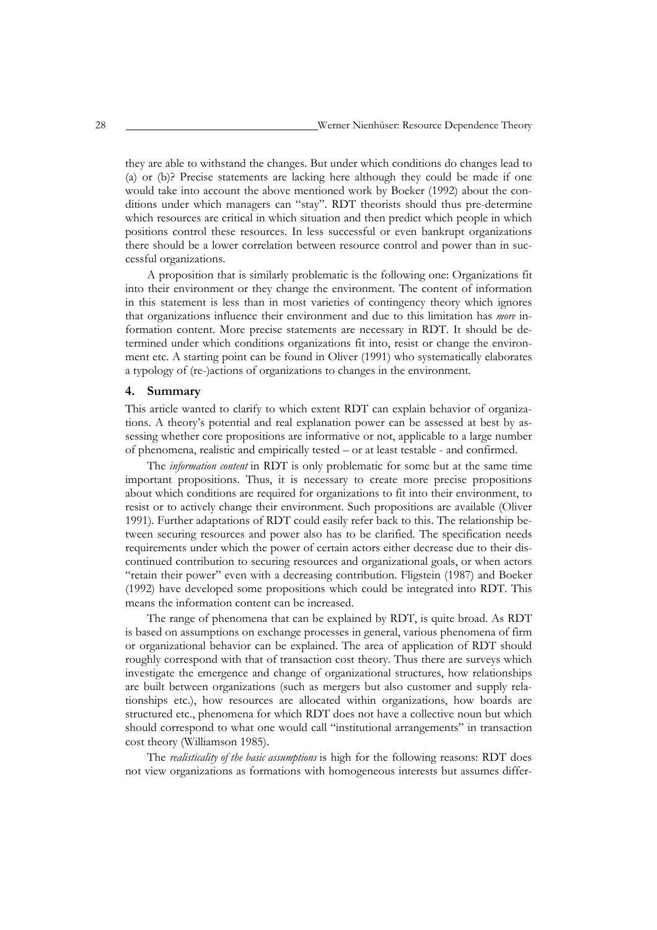they are able to withstand the changes. But under which conditions do changes lead to (a) or (b)? Precise statements are lacking here although they could be made if one would take into account the above mentioned work by Boeker (1992) about the conditions under which managers can "stay". RDT theorists should thus pre-determine which resources are critical in which situation and then predict which people in which positions control these resources. In less successful or even bankrupt organizations there should be a lower correlation between resource control and power than in successful organizations.

A proposition that is similarly problematic is the following one: Organizations fit into their environment or they change the environment. The content of information in this statement is less than in most varieties of contingency theory which ignores that organizations influence their environment and due to this limitation has *more* information content. More precise statements are necessary in RDT. It should be determined under which conditions organizations fit into, resist or change the environment etc. A starting point can be found in Oliver (1991) who systematically elaborates a typology of (re-)actions of organizations to changes in the environment.

## **4. Summary**

This article wanted to clarify to which extent RDT can explain behavior of organizations. A theory's potential and real explanation power can be assessed at best by assessing whether core propositions are informative or not, applicable to a large number of phenomena, realistic and empirically tested – or at least testable - and confirmed.

The *information content* in RDT is only problematic for some but at the same time important propositions. Thus, it is necessary to create more precise propositions about which conditions are required for organizations to fit into their environment, to resist or to actively change their environment. Such propositions are available (Oliver 1991). Further adaptations of RDT could easily refer back to this. The relationship between securing resources and power also has to be clarified. The specification needs requirements under which the power of certain actors either decrease due to their discontinued contribution to securing resources and organizational goals, or when actors "retain their power" even with a decreasing contribution. Fligstein (1987) and Boeker (1992) have developed some propositions which could be integrated into RDT. This means the information content can be increased.

The range of phenomena that can be explained by RDT, is quite broad. As RDT is based on assumptions on exchange processes in general, various phenomena of firm or organizational behavior can be explained. The area of application of RDT should roughly correspond with that of transaction cost theory. Thus there are surveys which investigate the emergence and change of organizational structures, how relationships are built between organizations (such as mergers but also customer and supply relationships etc.), how resources are allocated within organizations, how boards are structured etc., phenomena for which RDT does not have a collective noun but which should correspond to what one would call "institutional arrangements" in transaction cost theory (Williamson 1985).

The *realisticality of the basic assumptions* is high for the following reasons: RDT does not view organizations as formations with homogeneous interests but assumes differ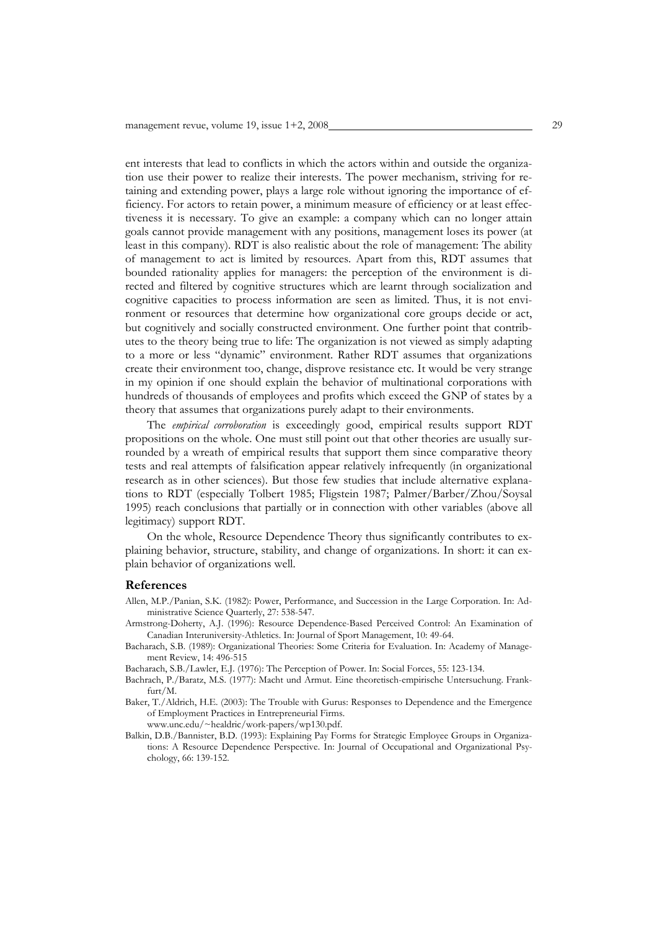ent interests that lead to conflicts in which the actors within and outside the organization use their power to realize their interests. The power mechanism, striving for retaining and extending power, plays a large role without ignoring the importance of efficiency. For actors to retain power, a minimum measure of efficiency or at least effectiveness it is necessary. To give an example: a company which can no longer attain goals cannot provide management with any positions, management loses its power (at least in this company). RDT is also realistic about the role of management: The ability of management to act is limited by resources. Apart from this, RDT assumes that bounded rationality applies for managers: the perception of the environment is directed and filtered by cognitive structures which are learnt through socialization and cognitive capacities to process information are seen as limited. Thus, it is not environment or resources that determine how organizational core groups decide or act, but cognitively and socially constructed environment. One further point that contributes to the theory being true to life: The organization is not viewed as simply adapting to a more or less "dynamic" environment. Rather RDT assumes that organizations create their environment too, change, disprove resistance etc. It would be very strange in my opinion if one should explain the behavior of multinational corporations with hundreds of thousands of employees and profits which exceed the GNP of states by a theory that assumes that organizations purely adapt to their environments.

The *empirical corroboration* is exceedingly good, empirical results support RDT propositions on the whole. One must still point out that other theories are usually surrounded by a wreath of empirical results that support them since comparative theory tests and real attempts of falsification appear relatively infrequently (in organizational research as in other sciences). But those few studies that include alternative explanations to RDT (especially Tolbert 1985; Fligstein 1987; Palmer/Barber/Zhou/Soysal 1995) reach conclusions that partially or in connection with other variables (above all legitimacy) support RDT.

On the whole, Resource Dependence Theory thus significantly contributes to explaining behavior, structure, stability, and change of organizations. In short: it can explain behavior of organizations well.

#### **References**

- Allen, M.P./Panian, S.K. (1982): Power, Performance, and Succession in the Large Corporation. In: Administrative Science Quarterly, 27: 538-547.
- Armstrong-Doherty, A.J. (1996): Resource Dependence-Based Perceived Control: An Examination of Canadian Interuniversity-Athletics. In: Journal of Sport Management, 10: 49-64.
- Bacharach, S.B. (1989): Organizational Theories: Some Criteria for Evaluation. In: Academy of Management Review, 14: 496-515

- Bachrach, P./Baratz, M.S. (1977): Macht und Armut. Eine theoretisch-empirische Untersuchung. Frankfurt/M.
- Baker, T./Aldrich, H.E. (2003): The Trouble with Gurus: Responses to Dependence and the Emergence of Employment Practices in Entrepreneurial Firms.
	- www.unc.edu/~healdric/work-papers/wp130.pdf.
- Balkin, D.B./Bannister, B.D. (1993): Explaining Pay Forms for Strategic Employee Groups in Organizations: A Resource Dependence Perspective. In: Journal of Occupational and Organizational Psychology, 66: 139-152.

Bacharach, S.B./Lawler, E.J. (1976): The Perception of Power. In: Social Forces, 55: 123-134.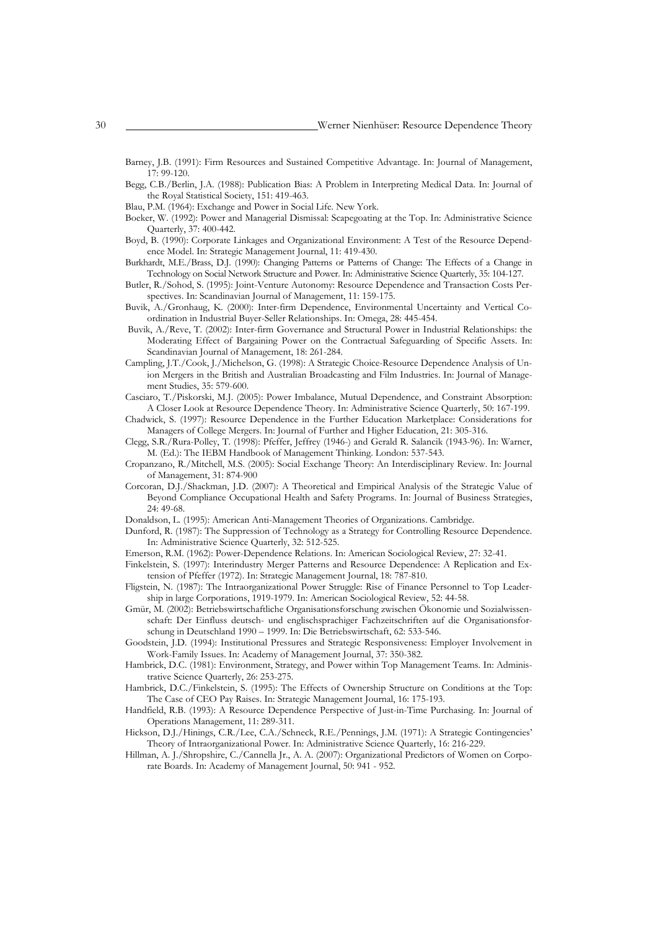- Barney, J.B. (1991): Firm Resources and Sustained Competitive Advantage. In: Journal of Management, 17: 99-120.
- Begg, C.B./Berlin, J.A. (1988): Publication Bias: A Problem in Interpreting Medical Data. In: Journal of the Royal Statistical Society, 151: 419-463.
- Blau, P.M. (1964): Exchange and Power in Social Life. New York.
- Boeker, W. (1992): Power and Managerial Dismissal: Scapegoating at the Top. In: Administrative Science Quarterly, 37: 400-442.
- Boyd, B. (1990): Corporate Linkages and Organizational Environment: A Test of the Resource Dependence Model. In: Strategic Management Journal, 11: 419-430.
- Burkhardt, M.E./Brass, D.J. (1990): Changing Patterns or Patterns of Change: The Effects of a Change in Technology on Social Network Structure and Power. In: Administrative Science Quarterly, 35: 104-127.
- Butler, R./Sohod, S. (1995): Joint-Venture Autonomy: Resource Dependence and Transaction Costs Perspectives. In: Scandinavian Journal of Management, 11: 159-175.
- Buvik, A./Gronhaug, K. (2000): Inter-firm Dependence, Environmental Uncertainty and Vertical Coordination in Industrial Buyer-Seller Relationships. In: Omega, 28: 445-454.
- Buvik, A./Reve, T. (2002): Inter-firm Governance and Structural Power in Industrial Relationships: the Moderating Effect of Bargaining Power on the Contractual Safeguarding of Specific Assets. In: Scandinavian Journal of Management, 18: 261-284.
- Campling, J.T./Cook, J./Michelson, G. (1998): A Strategic Choice-Resource Dependence Analysis of Union Mergers in the British and Australian Broadcasting and Film Industries. In: Journal of Management Studies, 35: 579-600.
- Casciaro, T./Piskorski, M.J. (2005): Power Imbalance, Mutual Dependence, and Constraint Absorption: A Closer Look at Resource Dependence Theory. In: Administrative Science Quarterly, 50: 167-199.
- Chadwick, S. (1997): Resource Dependence in the Further Education Marketplace: Considerations for Managers of College Mergers. In: Journal of Further and Higher Education, 21: 305-316.
- Clegg, S.R./Rura-Polley, T. (1998): Pfeffer, Jeffrey (1946-) and Gerald R. Salancik (1943-96). In: Warner, M. (Ed.): The IEBM Handbook of Management Thinking. London: 537-543.
- Cropanzano, R./Mitchell, M.S. (2005): Social Exchange Theory: An Interdisciplinary Review. In: Journal of Management, 31: 874-900
- Corcoran, D.J./Shackman, J.D. (2007): A Theoretical and Empirical Analysis of the Strategic Value of Beyond Compliance Occupational Health and Safety Programs. In: Journal of Business Strategies, 24: 49-68.
- Donaldson, L. (1995): American Anti-Management Theories of Organizations. Cambridge.
- Dunford, R. (1987): The Suppression of Technology as a Strategy for Controlling Resource Dependence. In: Administrative Science Quarterly, 32: 512-525.
- Emerson, R.M. (1962): Power-Dependence Relations. In: American Sociological Review, 27: 32-41.
- Finkelstein, S. (1997): Interindustry Merger Patterns and Resource Dependence: A Replication and Extension of Pfeffer (1972). In: Strategic Management Journal, 18: 787-810.
- Fligstein, N. (1987): The Intraorganizational Power Struggle: Rise of Finance Personnel to Top Leadership in large Corporations, 1919-1979. In: American Sociological Review, 52: 44-58.
- Gmür, M. (2002): Betriebswirtschaftliche Organisationsforschung zwischen Ökonomie und Sozialwissenschaft: Der Einfluss deutsch- und englischsprachiger Fachzeitschriften auf die Organisationsforschung in Deutschland 1990 – 1999. In: Die Betriebswirtschaft, 62: 533-546.
- Goodstein, J.D. (1994): Institutional Pressures and Strategic Responsiveness: Employer Involvement in Work-Family Issues. In: Academy of Management Journal, 37: 350-382.
- Hambrick, D.C. (1981): Environment, Strategy, and Power within Top Management Teams. In: Administrative Science Quarterly, 26: 253-275.
- Hambrick, D.C./Finkelstein, S. (1995): The Effects of Ownership Structure on Conditions at the Top: The Case of CEO Pay Raises. In: Strategic Management Journal, 16: 175-193.
- Handfield, R.B. (1993): A Resource Dependence Perspective of Just-in-Time Purchasing. In: Journal of Operations Management, 11: 289-311.
- Hickson, D.J./Hinings, C.R./Lee, C.A./Schneck, R.E./Pennings, J.M. (1971): A Strategic Contingencies' Theory of Intraorganizational Power. In: Administrative Science Quarterly, 16: 216-229.
- Hillman, A. J./Shropshire, C./Cannella Jr., A. A. (2007): Organizational Predictors of Women on Corporate Boards. In: Academy of Management Journal, 50: 941 - 952.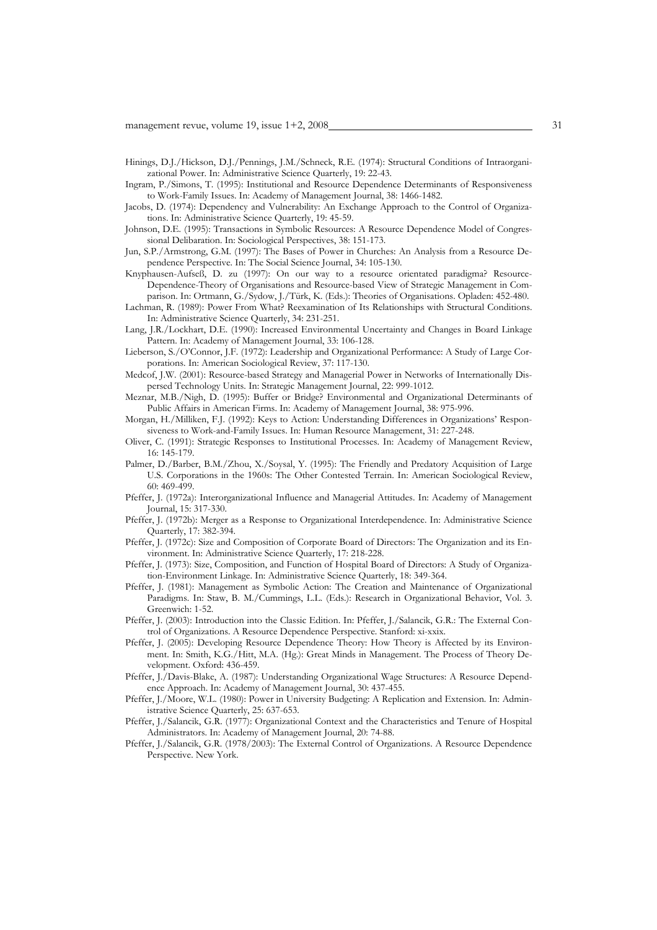- Hinings, D.J./Hickson, D.J./Pennings, J.M./Schneck, R.E. (1974): Structural Conditions of Intraorganizational Power. In: Administrative Science Quarterly, 19: 22-43.
- Ingram, P./Simons, T. (1995): Institutional and Resource Dependence Determinants of Responsiveness to Work-Family Issues. In: Academy of Management Journal, 38: 1466-1482.
- Jacobs, D. (1974): Dependency and Vulnerability: An Exchange Approach to the Control of Organizations. In: Administrative Science Quarterly, 19: 45-59.
- Johnson, D.E. (1995): Transactions in Symbolic Resources: A Resource Dependence Model of Congressional Delibaration. In: Sociological Perspectives, 38: 151-173.
- Jun, S.P./Armstrong, G.M. (1997): The Bases of Power in Churches: An Analysis from a Resource Dependence Perspective. In: The Social Science Journal, 34: 105-130.
- Knyphausen-Aufseß, D. zu (1997): On our way to a resource orientated paradigma? Resource-Dependence-Theory of Organisations and Resource-based View of Strategic Management in Comparison. In: Ortmann, G./Sydow, J./Türk, K. (Eds.): Theories of Organisations. Opladen: 452-480.
- Lachman, R. (1989): Power From What? Reexamination of Its Relationships with Structural Conditions. In: Administrative Science Quarterly, 34: 231-251.
- Lang, J.R./Lockhart, D.E. (1990): Increased Environmental Uncertainty and Changes in Board Linkage Pattern. In: Academy of Management Journal, 33: 106-128.
- Lieberson, S./O'Connor, J.F. (1972): Leadership and Organizational Performance: A Study of Large Corporations. In: American Sociological Review, 37: 117-130.
- Medcof, J.W. (2001): Resource-based Strategy and Managerial Power in Networks of Internationally Dispersed Technology Units. In: Strategic Management Journal, 22: 999-1012.
- Meznar, M.B./Nigh, D. (1995): Buffer or Bridge? Environmental and Organizational Determinants of Public Affairs in American Firms. In: Academy of Management Journal, 38: 975-996.
- Morgan, H./Milliken, F.J. (1992): Keys to Action: Understanding Differences in Organizations' Responsiveness to Work-and-Family Issues. In: Human Resource Management, 31: 227-248.
- Oliver, C. (1991): Strategic Responses to Institutional Processes. In: Academy of Management Review, 16: 145-179.
- Palmer, D./Barber, B.M./Zhou, X./Soysal, Y. (1995): The Friendly and Predatory Acquisition of Large U.S. Corporations in the 1960s: The Other Contested Terrain. In: American Sociological Review, 60: 469-499.
- Pfeffer, J. (1972a): Interorganizational Influence and Managerial Attitudes. In: Academy of Management Journal, 15: 317-330.
- Pfeffer, J. (1972b): Merger as a Response to Organizational Interdependence. In: Administrative Science Quarterly, 17: 382-394.
- Pfeffer, J. (1972c): Size and Composition of Corporate Board of Directors: The Organization and its Environment. In: Administrative Science Quarterly, 17: 218-228.
- Pfeffer, J. (1973): Size, Composition, and Function of Hospital Board of Directors: A Study of Organization-Environment Linkage. In: Administrative Science Quarterly, 18: 349-364.
- Pfeffer, J. (1981): Management as Symbolic Action: The Creation and Maintenance of Organizational Paradigms. In: Staw, B. M./Cummings, L.L. (Eds.): Research in Organizational Behavior, Vol. 3. Greenwich: 1-52.
- Pfeffer, J. (2003): Introduction into the Classic Edition. In: Pfeffer, J./Salancik, G.R.: The External Control of Organizations. A Resource Dependence Perspective. Stanford: xi-xxix.
- Pfeffer, J. (2005): Developing Resource Dependence Theory: How Theory is Affected by its Environment. In: Smith, K.G./Hitt, M.A. (Hg.): Great Minds in Management. The Process of Theory Development. Oxford: 436-459.
- Pfeffer, J./Davis-Blake, A. (1987): Understanding Organizational Wage Structures: A Resource Dependence Approach. In: Academy of Management Journal, 30: 437-455.
- Pfeffer, J./Moore, W.L. (1980): Power in University Budgeting: A Replication and Extension. In: Administrative Science Quarterly, 25: 637-653.
- Pfeffer, J./Salancik, G.R. (1977): Organizational Context and the Characteristics and Tenure of Hospital Administrators. In: Academy of Management Journal, 20: 74-88.
- Pfeffer, J./Salancik, G.R. (1978/2003): The External Control of Organizations. A Resource Dependence Perspective. New York.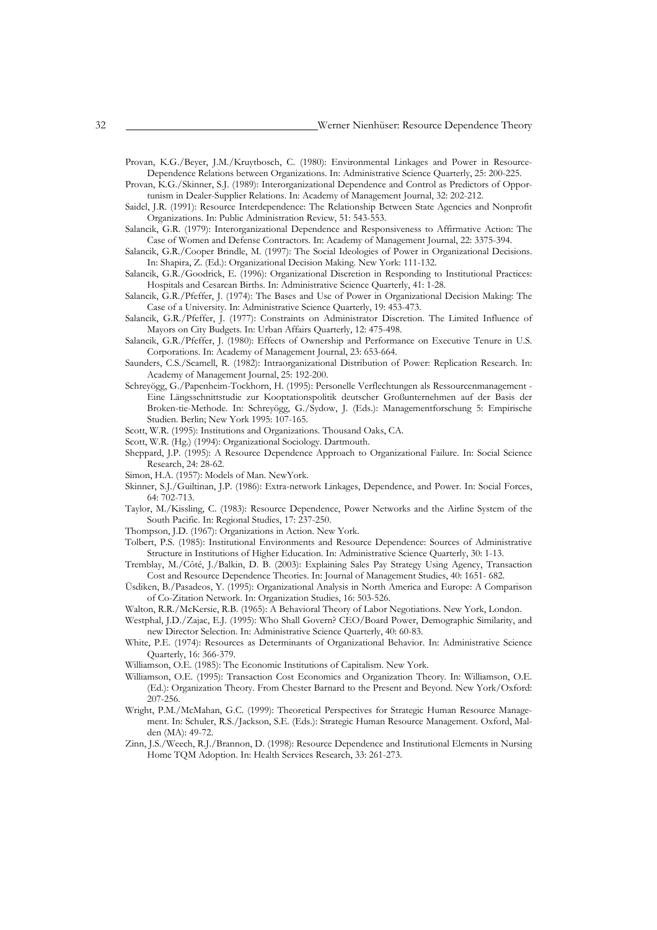- Provan, K.G./Beyer, J.M./Kruytbosch, C. (1980): Environmental Linkages and Power in Resource-Dependence Relations between Organizations. In: Administrative Science Quarterly, 25: 200-225.
- Provan, K.G./Skinner, S.J. (1989): Interorganizational Dependence and Control as Predictors of Opportunism in Dealer-Supplier Relations. In: Academy of Management Journal, 32: 202-212.
- Saidel, J.R. (1991): Resource Interdependence: The Relationship Between State Agencies and Nonprofit Organizations. In: Public Administration Review, 51: 543-553.
- Salancik, G.R. (1979): Interorganizational Dependence and Responsiveness to Affirmative Action: The Case of Women and Defense Contractors. In: Academy of Management Journal, 22: 3375-394.
- Salancik, G.R./Cooper Brindle, M. (1997): The Social Ideologies of Power in Organizational Decisions. In: Shapira, Z. (Ed.): Organizational Decision Making. New York: 111-132.
- Salancik, G.R./Goodrick, E. (1996): Organizational Discretion in Responding to Institutional Practices: Hospitals and Cesarean Births. In: Administrative Science Quarterly, 41: 1-28.
- Salancik, G.R./Pfeffer, J. (1974): The Bases and Use of Power in Organizational Decision Making: The Case of a University. In: Administrative Science Quarterly, 19: 453-473.
- Salancik, G.R./Pfeffer, J. (1977): Constraints on Administrator Discretion. The Limited Influence of Mayors on City Budgets. In: Urban Affairs Quarterly, 12: 475-498.
- Salancik, G.R./Pfeffer, J. (1980): Effects of Ownership and Performance on Executive Tenure in U.S. Corporations. In: Academy of Management Journal, 23: 653-664.
- Saunders, C.S./Scamell, R. (1982): Intraorganizational Distribution of Power: Replication Research. In: Academy of Management Journal, 25: 192-200.
- Schreyögg, G./Papenheim-Tockhorn, H. (1995): Personelle Verflechtungen als Ressourcenmanagement Eine Längsschnittstudie zur Kooptationspolitik deutscher Großunternehmen auf der Basis der Broken-tie-Methode. In: Schreyögg, G./Sydow, J. (Eds.): Managementforschung 5: Empirische Studien. Berlin; New York 1995: 107-165.
- Scott, W.R. (1995): Institutions and Organizations. Thousand Oaks, CA.
- Scott, W.R. (Hg.) (1994): Organizational Sociology. Dartmouth.
- Sheppard, J.P. (1995): A Resource Dependence Approach to Organizational Failure. In: Social Science Research, 24: 28-62.
- Simon, H.A. (1957): Models of Man. NewYork.
- Skinner, S.J./Guiltinan, J.P. (1986): Extra-network Linkages, Dependence, and Power. In: Social Forces, 64: 702-713.
- Taylor, M./Kissling, C. (1983): Resource Dependence, Power Networks and the Airline System of the South Pacific. In: Regional Studies, 17: 237-250.
- Thompson, J.D. (1967): Organizations in Action. New York.
- Tolbert, P.S. (1985): Institutional Environments and Resource Dependence: Sources of Administrative Structure in Institutions of Higher Education. In: Administrative Science Quarterly, 30: 1-13.
- Tremblay, M./Côté, J./Balkin, D. B. (2003): Explaining Sales Pay Strategy Using Agency, Transaction Cost and Resource Dependence Theories. In: Journal of Management Studies, 40: 1651- 682.
- Üsdiken, B./Pasadeos, Y. (1995): Organizational Analysis in North America and Europe: A Comparison of Co-Zitation Network. In: Organization Studies, 16: 503-526.
- Walton, R.R./McKersie, R.B. (1965): A Behavioral Theory of Labor Negotiations. New York, London.
- Westphal, J.D./Zajac, E.J. (1995): Who Shall Govern? CEO/Board Power, Demographic Similarity, and new Director Selection. In: Administrative Science Quarterly, 40: 60-83.
- White, P.E. (1974): Resources as Determinants of Organizational Behavior. In: Administrative Science Quarterly, 16: 366-379.
- Williamson, O.E. (1985): The Economic Institutions of Capitalism. New York.
- Williamson, O.E. (1995): Transaction Cost Economics and Organization Theory. In: Williamson, O.E. (Ed.): Organization Theory. From Chester Barnard to the Present and Beyond. New York/Oxford: 207-256.
- Wright, P.M./McMahan, G.C. (1999): Theoretical Perspectives for Strategic Human Resource Management. In: Schuler, R.S./Jackson, S.E. (Eds.): Strategic Human Resource Management. Oxford, Malden (MA): 49-72.
- Zinn, J.S./Weech, R.J./Brannon, D. (1998): Resource Dependence and Institutional Elements in Nursing Home TQM Adoption. In: Health Services Research, 33: 261-273.